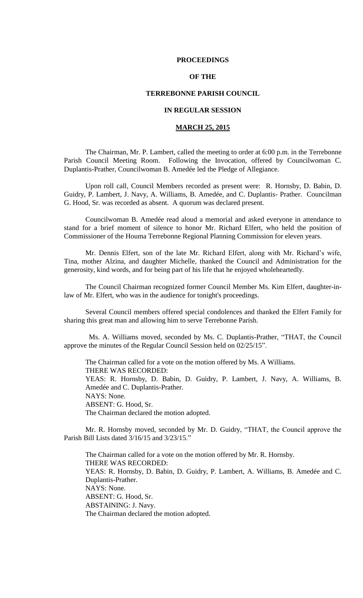### **PROCEEDINGS**

## **OF THE**

### **TERREBONNE PARISH COUNCIL**

## **IN REGULAR SESSION**

# **MARCH 25, 2015**

The Chairman, Mr. P. Lambert, called the meeting to order at 6:00 p.m. in the Terrebonne Parish Council Meeting Room. Following the Invocation, offered by Councilwoman C. Duplantis-Prather, Councilwoman B. Amedée led the Pledge of Allegiance.

Upon roll call, Council Members recorded as present were: R. Hornsby, D. Babin, D. Guidry, P. Lambert, J. Navy, A. Williams, B. Amedée, and C. Duplantis- Prather. Councilman G. Hood, Sr. was recorded as absent. A quorum was declared present.

Councilwoman B. Amedée read aloud a memorial and asked everyone in attendance to stand for a brief moment of silence to honor Mr. Richard Elfert, who held the position of Commissioner of the Houma Terrebonne Regional Planning Commission for eleven years.

Mr. Dennis Elfert, son of the late Mr. Richard Elfert, along with Mr. Richard's wife, Tina, mother Alzina, and daughter Michelle, thanked the Council and Administration for the generosity, kind words, and for being part of his life that he enjoyed wholeheartedly.

The Council Chairman recognized former Council Member Ms. Kim Elfert, daughter-inlaw of Mr. Elfert, who was in the audience for tonight's proceedings.

Several Council members offered special condolences and thanked the Elfert Family for sharing this great man and allowing him to serve Terrebonne Parish.

 Ms. A. Williams moved, seconded by Ms. C. Duplantis-Prather, "THAT, the Council approve the minutes of the Regular Council Session held on 02/25/15".

The Chairman called for a vote on the motion offered by Ms. A Williams. THERE WAS RECORDED: YEAS: R. Hornsby, D. Babin, D. Guidry, P. Lambert, J. Navy, A. Williams, B. Amedée and C. Duplantis-Prather. NAYS: None. ABSENT: G. Hood, Sr. The Chairman declared the motion adopted.

Mr. R. Hornsby moved, seconded by Mr. D. Guidry, "THAT, the Council approve the Parish Bill Lists dated 3/16/15 and 3/23/15."

The Chairman called for a vote on the motion offered by Mr. R. Hornsby. THERE WAS RECORDED: YEAS: R. Hornsby, D. Babin, D. Guidry, P. Lambert, A. Williams, B. Amedée and C. Duplantis-Prather. NAYS: None. ABSENT: G. Hood, Sr. ABSTAINING: J. Navy. The Chairman declared the motion adopted.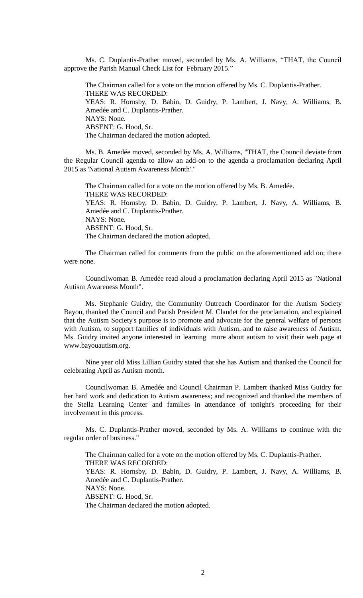Ms. C. Duplantis-Prather moved, seconded by Ms. A. Williams, "THAT, the Council approve the Parish Manual Check List for February 2015."

The Chairman called for a vote on the motion offered by Ms. C. Duplantis-Prather. THERE WAS RECORDED: YEAS: R. Hornsby, D. Babin, D. Guidry, P. Lambert, J. Navy, A. Williams, B. Amedée and C. Duplantis-Prather. NAYS: None. ABSENT: G. Hood, Sr. The Chairman declared the motion adopted.

Ms. B. Amedée moved, seconded by Ms. A. Williams, "THAT, the Council deviate from the Regular Council agenda to allow an add-on to the agenda a proclamation declaring April 2015 as 'National Autism Awareness Month'."

The Chairman called for a vote on the motion offered by Ms. B. Amedée. THERE WAS RECORDED: YEAS: R. Hornsby, D. Babin, D. Guidry, P. Lambert, J. Navy, A. Williams, B. Amedée and C. Duplantis-Prather. NAYS: None. ABSENT: G. Hood, Sr. The Chairman declared the motion adopted.

The Chairman called for comments from the public on the aforementioned add on; there were none.

Councilwoman B. Amedée read aloud a proclamation declaring April 2015 as "National Autism Awareness Month".

Ms. Stephanie Guidry, the Community Outreach Coordinator for the Autism Society Bayou, thanked the Council and Parish President M. Claudet for the proclamation, and explained that the Autism Society's purpose is to promote and advocate for the general welfare of persons with Autism, to support families of individuals with Autism, and to raise awareness of Autism. Ms. Guidry invited anyone interested in learning more about autism to visit their web page at www.bayouautism.org.

Nine year old Miss Lillian Guidry stated that she has Autism and thanked the Council for celebrating April as Autism month.

Councilwoman B. Amedée and Council Chairman P. Lambert thanked Miss Guidry for her hard work and dedication to Autism awareness; and recognized and thanked the members of the Stella Learning Center and families in attendance of tonight's proceeding for their involvement in this process.

Ms. C. Duplantis-Prather moved, seconded by Ms. A. Williams to continue with the regular order of business."

The Chairman called for a vote on the motion offered by Ms. C. Duplantis-Prather. THERE WAS RECORDED: YEAS: R. Hornsby, D. Babin, D. Guidry, P. Lambert, J. Navy, A. Williams, B. Amedée and C. Duplantis-Prather. NAYS: None. ABSENT: G. Hood, Sr. The Chairman declared the motion adopted.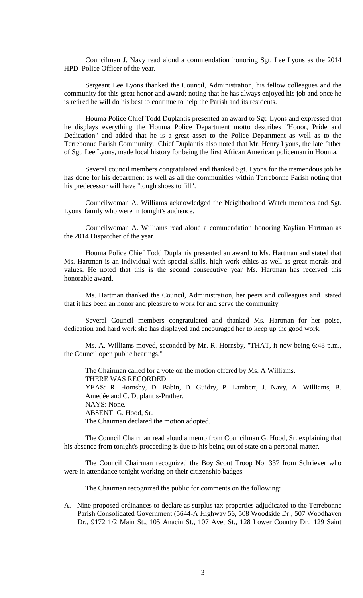Councilman J. Navy read aloud a commendation honoring Sgt. Lee Lyons as the 2014 HPD Police Officer of the year.

Sergeant Lee Lyons thanked the Council, Administration, his fellow colleagues and the community for this great honor and award; noting that he has always enjoyed his job and once he is retired he will do his best to continue to help the Parish and its residents.

Houma Police Chief Todd Duplantis presented an award to Sgt. Lyons and expressed that he displays everything the Houma Police Department motto describes "Honor, Pride and Dedication" and added that he is a great asset to the Police Department as well as to the Terrebonne Parish Community. Chief Duplantis also noted that Mr. Henry Lyons, the late father of Sgt. Lee Lyons, made local history for being the first African American policeman in Houma.

Several council members congratulated and thanked Sgt. Lyons for the tremendous job he has done for his department as well as all the communities within Terrebonne Parish noting that his predecessor will have "tough shoes to fill".

Councilwoman A. Williams acknowledged the Neighborhood Watch members and Sgt. Lyons' family who were in tonight's audience.

Councilwoman A. Williams read aloud a commendation honoring Kaylian Hartman as the 2014 Dispatcher of the year.

Houma Police Chief Todd Duplantis presented an award to Ms. Hartman and stated that Ms. Hartman is an individual with special skills, high work ethics as well as great morals and values. He noted that this is the second consecutive year Ms. Hartman has received this honorable award.

Ms. Hartman thanked the Council, Administration, her peers and colleagues and stated that it has been an honor and pleasure to work for and serve the community.

Several Council members congratulated and thanked Ms. Hartman for her poise, dedication and hard work she has displayed and encouraged her to keep up the good work.

Ms. A. Williams moved, seconded by Mr. R. Hornsby, "THAT, it now being 6:48 p.m., the Council open public hearings."

The Chairman called for a vote on the motion offered by Ms. A Williams. THERE WAS RECORDED: YEAS: R. Hornsby, D. Babin, D. Guidry, P. Lambert, J. Navy, A. Williams, B. Amedée and C. Duplantis-Prather. NAYS: None. ABSENT: G. Hood, Sr. The Chairman declared the motion adopted.

The Council Chairman read aloud a memo from Councilman G. Hood, Sr. explaining that his absence from tonight's proceeding is due to his being out of state on a personal matter.

The Council Chairman recognized the Boy Scout Troop No. 337 from Schriever who were in attendance tonight working on their citizenship badges.

The Chairman recognized the public for comments on the following:

A. Nine proposed ordinances to declare as surplus tax properties adjudicated to the Terrebonne Parish Consolidated Government (5644-A Highway 56, 508 Woodside Dr., 507 Woodhaven Dr., 9172 1/2 Main St., 105 Anacin St., 107 Avet St., 128 Lower Country Dr., 129 Saint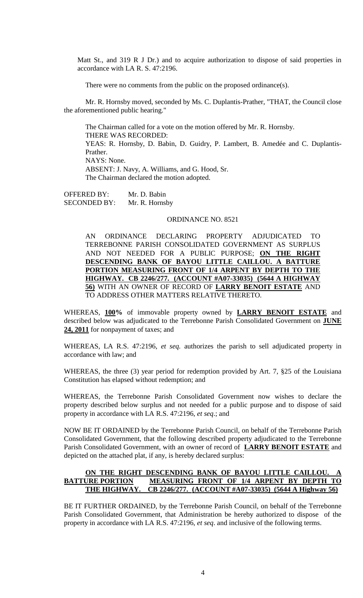Matt St., and 319 R J Dr.) and to acquire authorization to dispose of said properties in accordance with LA R. S. 47:2196.

There were no comments from the public on the proposed ordinance(s).

Mr. R. Hornsby moved, seconded by Ms. C. Duplantis-Prather, "THAT, the Council close the aforementioned public hearing."

The Chairman called for a vote on the motion offered by Mr. R. Hornsby. THERE WAS RECORDED: YEAS: R. Hornsby, D. Babin, D. Guidry, P. Lambert, B. Amedée and C. Duplantis-Prather. NAYS: None. ABSENT: J. Navy, A. Williams, and G. Hood, Sr. The Chairman declared the motion adopted.

OFFERED BY: Mr. D. Babin SECONDED BY: Mr. R. Hornsby

#### ORDINANCE NO. 8521

AN ORDINANCE DECLARING PROPERTY ADJUDICATED TO TERREBONNE PARISH CONSOLIDATED GOVERNMENT AS SURPLUS AND NOT NEEDED FOR A PUBLIC PURPOSE; **ON THE RIGHT DESCENDING BANK OF BAYOU LITTLE CAILLOU. A BATTURE PORTION MEASURING FRONT OF 1/4 ARPENT BY DEPTH TO THE HIGHWAY. CB 2246/277. (ACCOUNT #A07-33035) (5644 A HIGHWAY 56)** WITH AN OWNER OF RECORD OF **LARRY BENOIT ESTATE** AND TO ADDRESS OTHER MATTERS RELATIVE THERETO.

WHEREAS, **100%** of immovable property owned by **LARRY BENOIT ESTATE** and described below was adjudicated to the Terrebonne Parish Consolidated Government on **JUNE 24, 2011** for nonpayment of taxes; and

WHEREAS, LA R.S. 47:2196, *et seq.* authorizes the parish to sell adjudicated property in accordance with law; and

WHEREAS, the three (3) year period for redemption provided by Art. 7, §25 of the Louisiana Constitution has elapsed without redemption; and

WHEREAS, the Terrebonne Parish Consolidated Government now wishes to declare the property described below surplus and not needed for a public purpose and to dispose of said property in accordance with LA R.S. 47:2196, *et seq*.; and

NOW BE IT ORDAINED by the Terrebonne Parish Council, on behalf of the Terrebonne Parish Consolidated Government, that the following described property adjudicated to the Terrebonne Parish Consolidated Government, with an owner of record of **LARRY BENOIT ESTATE** and depicted on the attached plat, if any, is hereby declared surplus:

# **ON THE RIGHT DESCENDING BANK OF BAYOU LITTLE CAILLOU. A BATTURE PORTION MEASURING FRONT OF 1/4 ARPENT BY DEPTH TO THE HIGHWAY. CB 2246/277. (ACCOUNT #A07-33035) (5644 A Highway 56)**

BE IT FURTHER ORDAINED, by the Terrebonne Parish Council, on behalf of the Terrebonne Parish Consolidated Government, that Administration be hereby authorized to dispose of the property in accordance with LA R.S. 47:2196, *et seq*. and inclusive of the following terms.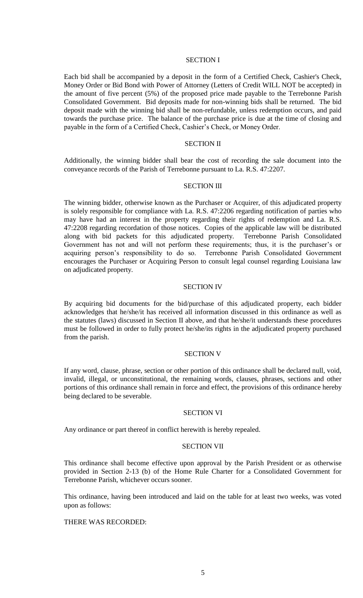### SECTION I

Each bid shall be accompanied by a deposit in the form of a Certified Check, Cashier's Check, Money Order or Bid Bond with Power of Attorney (Letters of Credit WILL NOT be accepted) in the amount of five percent (5%) of the proposed price made payable to the Terrebonne Parish Consolidated Government. Bid deposits made for non-winning bids shall be returned. The bid deposit made with the winning bid shall be non-refundable, unless redemption occurs, and paid towards the purchase price. The balance of the purchase price is due at the time of closing and payable in the form of a Certified Check, Cashier's Check, or Money Order.

## SECTION II

Additionally, the winning bidder shall bear the cost of recording the sale document into the conveyance records of the Parish of Terrebonne pursuant to La. R.S. 47:2207.

#### SECTION III

The winning bidder, otherwise known as the Purchaser or Acquirer, of this adjudicated property is solely responsible for compliance with La. R.S. 47:2206 regarding notification of parties who may have had an interest in the property regarding their rights of redemption and La. R.S. 47:2208 regarding recordation of those notices. Copies of the applicable law will be distributed along with bid packets for this adjudicated property. Terrebonne Parish Consolidated Government has not and will not perform these requirements; thus, it is the purchaser's or acquiring person's responsibility to do so. Terrebonne Parish Consolidated Government encourages the Purchaser or Acquiring Person to consult legal counsel regarding Louisiana law on adjudicated property.

### SECTION IV

By acquiring bid documents for the bid/purchase of this adjudicated property, each bidder acknowledges that he/she/it has received all information discussed in this ordinance as well as the statutes (laws) discussed in Section II above, and that he/she/it understands these procedures must be followed in order to fully protect he/she/its rights in the adjudicated property purchased from the parish.

### SECTION V

If any word, clause, phrase, section or other portion of this ordinance shall be declared null, void, invalid, illegal, or unconstitutional, the remaining words, clauses, phrases, sections and other portions of this ordinance shall remain in force and effect, the provisions of this ordinance hereby being declared to be severable.

### SECTION VI

Any ordinance or part thereof in conflict herewith is hereby repealed.

#### SECTION VII

This ordinance shall become effective upon approval by the Parish President or as otherwise provided in Section 2-13 (b) of the Home Rule Charter for a Consolidated Government for Terrebonne Parish, whichever occurs sooner.

This ordinance, having been introduced and laid on the table for at least two weeks, was voted upon as follows:

### THERE WAS RECORDED: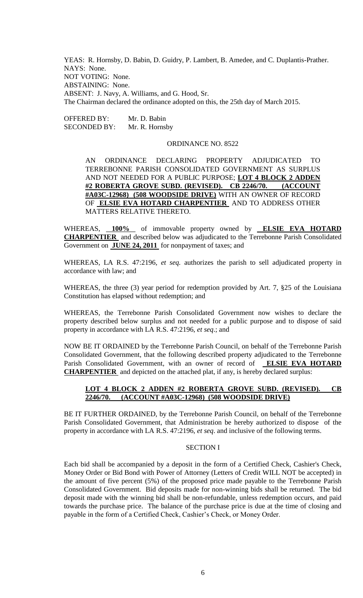YEAS: R. Hornsby, D. Babin, D. Guidry, P. Lambert, B. Amedee, and C. Duplantis-Prather. NAYS: None. NOT VOTING: None. ABSTAINING: None. ABSENT: J. Navy, A. Williams, and G. Hood, Sr. The Chairman declared the ordinance adopted on this, the 25th day of March 2015.

OFFERED BY: Mr. D. Babin SECONDED BY: Mr. R. Hornsby

### ORDINANCE NO. 8522

AN ORDINANCE DECLARING PROPERTY ADJUDICATED TO TERREBONNE PARISH CONSOLIDATED GOVERNMENT AS SURPLUS AND NOT NEEDED FOR A PUBLIC PURPOSE; **LOT 4 BLOCK 2 ADDEN #2 ROBERTA GROVE SUBD. (REVISED). CB 2246/70. (ACCOUNT #A03C-12968) (508 WOODSIDE DRIVE)** WITH AN OWNER OF RECORD OF **ELSIE EVA HOTARD CHARPENTIER** AND TO ADDRESS OTHER MATTERS RELATIVE THERETO.

WHEREAS, **100%** of immovable property owned by **ELSIE EVA HOTARD CHARPENTIER** and described below was adjudicated to the Terrebonne Parish Consolidated Government on **JUNE 24, 2011** for nonpayment of taxes; and

WHEREAS, LA R.S. 47:2196, *et seq.* authorizes the parish to sell adjudicated property in accordance with law; and

WHEREAS, the three (3) year period for redemption provided by Art. 7, §25 of the Louisiana Constitution has elapsed without redemption; and

WHEREAS, the Terrebonne Parish Consolidated Government now wishes to declare the property described below surplus and not needed for a public purpose and to dispose of said property in accordance with LA R.S. 47:2196, *et seq*.; and

NOW BE IT ORDAINED by the Terrebonne Parish Council, on behalf of the Terrebonne Parish Consolidated Government, that the following described property adjudicated to the Terrebonne Parish Consolidated Government, with an owner of record of **ELSIE EVA HOTARD CHARPENTIER** and depicted on the attached plat, if any, is hereby declared surplus:

# **LOT 4 BLOCK 2 ADDEN #2 ROBERTA GROVE SUBD. (REVISED). CB 2246/70. (ACCOUNT #A03C-12968) (508 WOODSIDE DRIVE)**

BE IT FURTHER ORDAINED, by the Terrebonne Parish Council, on behalf of the Terrebonne Parish Consolidated Government, that Administration be hereby authorized to dispose of the property in accordance with LA R.S. 47:2196, *et seq*. and inclusive of the following terms.

#### SECTION I

Each bid shall be accompanied by a deposit in the form of a Certified Check, Cashier's Check, Money Order or Bid Bond with Power of Attorney (Letters of Credit WILL NOT be accepted) in the amount of five percent (5%) of the proposed price made payable to the Terrebonne Parish Consolidated Government. Bid deposits made for non-winning bids shall be returned. The bid deposit made with the winning bid shall be non-refundable, unless redemption occurs, and paid towards the purchase price. The balance of the purchase price is due at the time of closing and payable in the form of a Certified Check, Cashier's Check, or Money Order.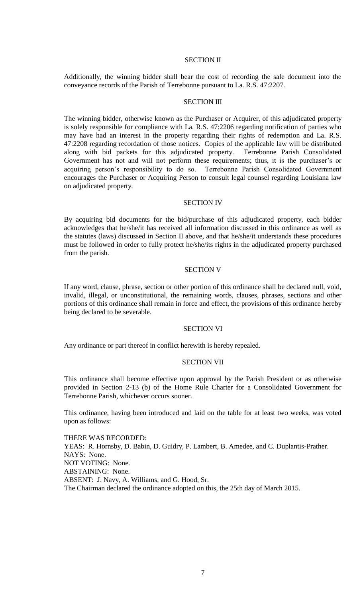### SECTION II

Additionally, the winning bidder shall bear the cost of recording the sale document into the conveyance records of the Parish of Terrebonne pursuant to La. R.S. 47:2207.

### **SECTION III**

The winning bidder, otherwise known as the Purchaser or Acquirer, of this adjudicated property is solely responsible for compliance with La. R.S. 47:2206 regarding notification of parties who may have had an interest in the property regarding their rights of redemption and La. R.S. 47:2208 regarding recordation of those notices. Copies of the applicable law will be distributed along with bid packets for this adjudicated property. Terrebonne Parish Consolidated Government has not and will not perform these requirements; thus, it is the purchaser's or acquiring person's responsibility to do so. Terrebonne Parish Consolidated Government encourages the Purchaser or Acquiring Person to consult legal counsel regarding Louisiana law on adjudicated property.

#### SECTION IV

By acquiring bid documents for the bid/purchase of this adjudicated property, each bidder acknowledges that he/she/it has received all information discussed in this ordinance as well as the statutes (laws) discussed in Section II above, and that he/she/it understands these procedures must be followed in order to fully protect he/she/its rights in the adjudicated property purchased from the parish.

### SECTION V

If any word, clause, phrase, section or other portion of this ordinance shall be declared null, void, invalid, illegal, or unconstitutional, the remaining words, clauses, phrases, sections and other portions of this ordinance shall remain in force and effect, the provisions of this ordinance hereby being declared to be severable.

#### SECTION VI

Any ordinance or part thereof in conflict herewith is hereby repealed.

#### SECTION VII

This ordinance shall become effective upon approval by the Parish President or as otherwise provided in Section 2-13 (b) of the Home Rule Charter for a Consolidated Government for Terrebonne Parish, whichever occurs sooner.

This ordinance, having been introduced and laid on the table for at least two weeks, was voted upon as follows:

THERE WAS RECORDED: YEAS: R. Hornsby, D. Babin, D. Guidry, P. Lambert, B. Amedee, and C. Duplantis-Prather. NAYS: None. NOT VOTING: None. ABSTAINING: None. ABSENT: J. Navy, A. Williams, and G. Hood, Sr. The Chairman declared the ordinance adopted on this, the 25th day of March 2015.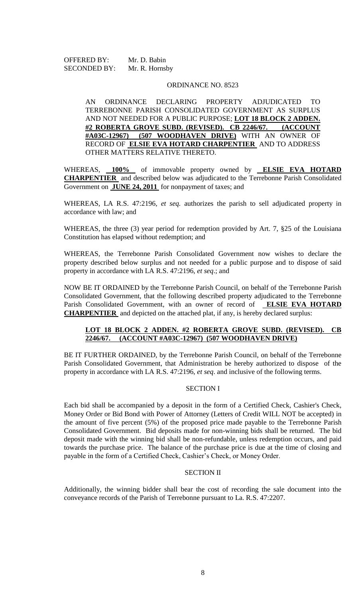OFFERED BY: Mr. D. Babin SECONDED BY: Mr. R. Hornsby

### ORDINANCE NO. 8523

AN ORDINANCE DECLARING PROPERTY ADJUDICATED TO TERREBONNE PARISH CONSOLIDATED GOVERNMENT AS SURPLUS AND NOT NEEDED FOR A PUBLIC PURPOSE; **LOT 18 BLOCK 2 ADDEN. #2 ROBERTA GROVE SUBD. (REVISED). CB 2246/67. (ACCOUNT #A03C-12967) (507 WOODHAVEN DRIVE)** WITH AN OWNER OF RECORD OF **ELSIE EVA HOTARD CHARPENTIER** AND TO ADDRESS OTHER MATTERS RELATIVE THERETO.

WHEREAS, **100%** of immovable property owned by **ELSIE EVA HOTARD CHARPENTIER** and described below was adjudicated to the Terrebonne Parish Consolidated Government on **JUNE 24, 2011** for nonpayment of taxes; and

WHEREAS, LA R.S. 47:2196, *et seq.* authorizes the parish to sell adjudicated property in accordance with law; and

WHEREAS, the three (3) year period for redemption provided by Art. 7, §25 of the Louisiana Constitution has elapsed without redemption; and

WHEREAS, the Terrebonne Parish Consolidated Government now wishes to declare the property described below surplus and not needed for a public purpose and to dispose of said property in accordance with LA R.S. 47:2196, *et seq*.; and

NOW BE IT ORDAINED by the Terrebonne Parish Council, on behalf of the Terrebonne Parish Consolidated Government, that the following described property adjudicated to the Terrebonne Parish Consolidated Government, with an owner of record of **ELSIE EVA HOTARD CHARPENTIER** and depicted on the attached plat, if any, is hereby declared surplus:

# **LOT 18 BLOCK 2 ADDEN. #2 ROBERTA GROVE SUBD. (REVISED). CB 2246/67. (ACCOUNT #A03C-12967) (507 WOODHAVEN DRIVE)**

BE IT FURTHER ORDAINED, by the Terrebonne Parish Council, on behalf of the Terrebonne Parish Consolidated Government, that Administration be hereby authorized to dispose of the property in accordance with LA R.S. 47:2196, *et seq*. and inclusive of the following terms.

### SECTION I

Each bid shall be accompanied by a deposit in the form of a Certified Check, Cashier's Check, Money Order or Bid Bond with Power of Attorney (Letters of Credit WILL NOT be accepted) in the amount of five percent (5%) of the proposed price made payable to the Terrebonne Parish Consolidated Government. Bid deposits made for non-winning bids shall be returned. The bid deposit made with the winning bid shall be non-refundable, unless redemption occurs, and paid towards the purchase price. The balance of the purchase price is due at the time of closing and payable in the form of a Certified Check, Cashier's Check, or Money Order.

# SECTION II

Additionally, the winning bidder shall bear the cost of recording the sale document into the conveyance records of the Parish of Terrebonne pursuant to La. R.S. 47:2207.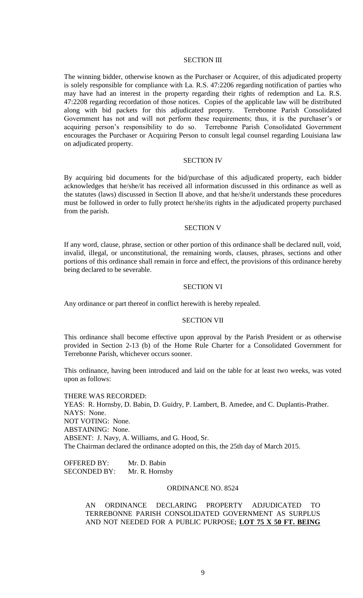### SECTION III

The winning bidder, otherwise known as the Purchaser or Acquirer, of this adjudicated property is solely responsible for compliance with La. R.S. 47:2206 regarding notification of parties who may have had an interest in the property regarding their rights of redemption and La. R.S. 47:2208 regarding recordation of those notices. Copies of the applicable law will be distributed along with bid packets for this adjudicated property. Terrebonne Parish Consolidated Government has not and will not perform these requirements; thus, it is the purchaser's or acquiring person's responsibility to do so. Terrebonne Parish Consolidated Government encourages the Purchaser or Acquiring Person to consult legal counsel regarding Louisiana law on adjudicated property.

## SECTION IV

By acquiring bid documents for the bid/purchase of this adjudicated property, each bidder acknowledges that he/she/it has received all information discussed in this ordinance as well as the statutes (laws) discussed in Section II above, and that he/she/it understands these procedures must be followed in order to fully protect he/she/its rights in the adjudicated property purchased from the parish.

#### SECTION V

If any word, clause, phrase, section or other portion of this ordinance shall be declared null, void, invalid, illegal, or unconstitutional, the remaining words, clauses, phrases, sections and other portions of this ordinance shall remain in force and effect, the provisions of this ordinance hereby being declared to be severable.

#### SECTION VI

Any ordinance or part thereof in conflict herewith is hereby repealed.

### SECTION VII

This ordinance shall become effective upon approval by the Parish President or as otherwise provided in Section 2-13 (b) of the Home Rule Charter for a Consolidated Government for Terrebonne Parish, whichever occurs sooner.

This ordinance, having been introduced and laid on the table for at least two weeks, was voted upon as follows:

THERE WAS RECORDED: YEAS: R. Hornsby, D. Babin, D. Guidry, P. Lambert, B. Amedee, and C. Duplantis-Prather. NAYS: None. NOT VOTING: None. ABSTAINING: None. ABSENT: J. Navy, A. Williams, and G. Hood, Sr. The Chairman declared the ordinance adopted on this, the 25th day of March 2015.

OFFERED BY: Mr. D. Babin SECONDED BY: Mr. R. Hornsby

### ORDINANCE NO. 8524

AN ORDINANCE DECLARING PROPERTY ADJUDICATED TO TERREBONNE PARISH CONSOLIDATED GOVERNMENT AS SURPLUS AND NOT NEEDED FOR A PUBLIC PURPOSE; **LOT 75 X 50 FT. BEING**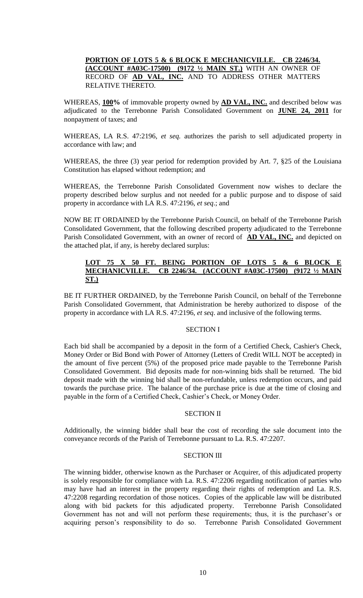# **PORTION OF LOTS 5 & 6 BLOCK E MECHANICVILLE. CB 2246/34. (ACCOUNT #A03C-17500) (9172 ½ MAIN ST.)** WITH AN OWNER OF RECORD OF **AD VAL, INC.** AND TO ADDRESS OTHER MATTERS RELATIVE THERETO.

WHEREAS, **100%** of immovable property owned by **AD VAL, INC.** and described below was adjudicated to the Terrebonne Parish Consolidated Government on **JUNE 24, 2011** for nonpayment of taxes; and

WHEREAS, LA R.S. 47:2196, *et seq.* authorizes the parish to sell adjudicated property in accordance with law; and

WHEREAS, the three (3) year period for redemption provided by Art. 7, §25 of the Louisiana Constitution has elapsed without redemption; and

WHEREAS, the Terrebonne Parish Consolidated Government now wishes to declare the property described below surplus and not needed for a public purpose and to dispose of said property in accordance with LA R.S. 47:2196, *et seq*.; and

NOW BE IT ORDAINED by the Terrebonne Parish Council, on behalf of the Terrebonne Parish Consolidated Government, that the following described property adjudicated to the Terrebonne Parish Consolidated Government, with an owner of record of **AD VAL, INC.** and depicted on the attached plat, if any, is hereby declared surplus:

# 50 FT. BEING PORTION OF LOTS 5 & 6 BLOCK E **MECHANICVILLE. CB 2246/34. (ACCOUNT #A03C-17500) (9172 1/2 ST.)**

BE IT FURTHER ORDAINED, by the Terrebonne Parish Council, on behalf of the Terrebonne Parish Consolidated Government, that Administration be hereby authorized to dispose of the property in accordance with LA R.S. 47:2196, *et seq*. and inclusive of the following terms.

# SECTION I

Each bid shall be accompanied by a deposit in the form of a Certified Check, Cashier's Check, Money Order or Bid Bond with Power of Attorney (Letters of Credit WILL NOT be accepted) in the amount of five percent (5%) of the proposed price made payable to the Terrebonne Parish Consolidated Government. Bid deposits made for non-winning bids shall be returned. The bid deposit made with the winning bid shall be non-refundable, unless redemption occurs, and paid towards the purchase price. The balance of the purchase price is due at the time of closing and payable in the form of a Certified Check, Cashier's Check, or Money Order.

# SECTION II

Additionally, the winning bidder shall bear the cost of recording the sale document into the conveyance records of the Parish of Terrebonne pursuant to La. R.S. 47:2207.

### SECTION III

The winning bidder, otherwise known as the Purchaser or Acquirer, of this adjudicated property is solely responsible for compliance with La. R.S. 47:2206 regarding notification of parties who may have had an interest in the property regarding their rights of redemption and La. R.S. 47:2208 regarding recordation of those notices. Copies of the applicable law will be distributed along with bid packets for this adjudicated property. Terrebonne Parish Consolidated Government has not and will not perform these requirements; thus, it is the purchaser's or acquiring person's responsibility to do so. Terrebonne Parish Consolidated Government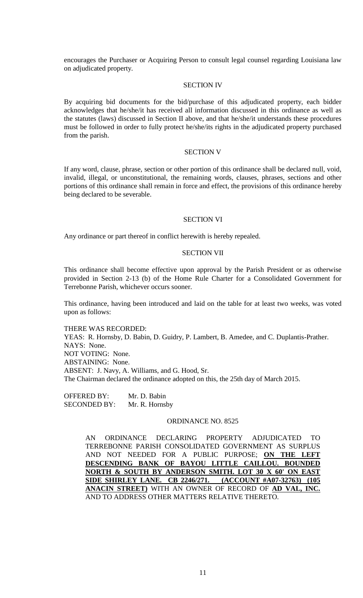encourages the Purchaser or Acquiring Person to consult legal counsel regarding Louisiana law on adjudicated property.

### SECTION IV

By acquiring bid documents for the bid/purchase of this adjudicated property, each bidder acknowledges that he/she/it has received all information discussed in this ordinance as well as the statutes (laws) discussed in Section II above, and that he/she/it understands these procedures must be followed in order to fully protect he/she/its rights in the adjudicated property purchased from the parish.

### SECTION V

If any word, clause, phrase, section or other portion of this ordinance shall be declared null, void, invalid, illegal, or unconstitutional, the remaining words, clauses, phrases, sections and other portions of this ordinance shall remain in force and effect, the provisions of this ordinance hereby being declared to be severable.

#### SECTION VI

Any ordinance or part thereof in conflict herewith is hereby repealed.

#### SECTION VII

This ordinance shall become effective upon approval by the Parish President or as otherwise provided in Section 2-13 (b) of the Home Rule Charter for a Consolidated Government for Terrebonne Parish, whichever occurs sooner.

This ordinance, having been introduced and laid on the table for at least two weeks, was voted upon as follows:

THERE WAS RECORDED: YEAS: R. Hornsby, D. Babin, D. Guidry, P. Lambert, B. Amedee, and C. Duplantis-Prather. NAYS: None. NOT VOTING: None. ABSTAINING: None. ABSENT: J. Navy, A. Williams, and G. Hood, Sr. The Chairman declared the ordinance adopted on this, the 25th day of March 2015.

OFFERED BY: Mr. D. Babin SECONDED BY: Mr. R. Hornsby

### ORDINANCE NO. 8525

AN ORDINANCE DECLARING PROPERTY ADJUDICATED TO TERREBONNE PARISH CONSOLIDATED GOVERNMENT AS SURPLUS AND NOT NEEDED FOR A PUBLIC PURPOSE; **ON THE LEFT DESCENDING BANK OF BAYOU LITTLE CAILLOU. BOUNDED NORTH & SOUTH BY ANDERSON SMITH. LOT 30 X 60' ON EAST SIDE SHIRLEY LANE. CB 2246/271. (ACCOUNT #A07-32763) (105 ANACIN STREET)** WITH AN OWNER OF RECORD OF **AD VAL, INC.** AND TO ADDRESS OTHER MATTERS RELATIVE THERETO.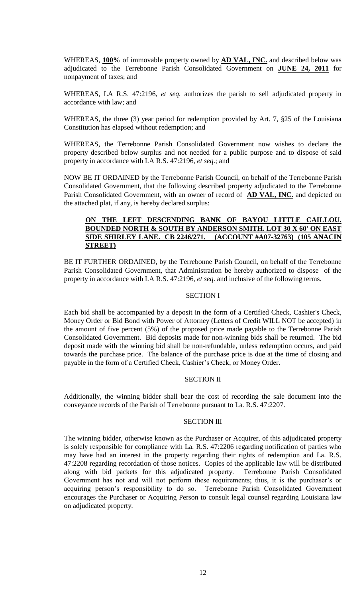WHEREAS, **100%** of immovable property owned by **AD VAL, INC.** and described below was adjudicated to the Terrebonne Parish Consolidated Government on **JUNE 24, 2011** for nonpayment of taxes; and

WHEREAS, LA R.S. 47:2196, *et seq.* authorizes the parish to sell adjudicated property in accordance with law; and

WHEREAS, the three (3) year period for redemption provided by Art. 7, §25 of the Louisiana Constitution has elapsed without redemption; and

WHEREAS, the Terrebonne Parish Consolidated Government now wishes to declare the property described below surplus and not needed for a public purpose and to dispose of said property in accordance with LA R.S. 47:2196, *et seq*.; and

NOW BE IT ORDAINED by the Terrebonne Parish Council, on behalf of the Terrebonne Parish Consolidated Government, that the following described property adjudicated to the Terrebonne Parish Consolidated Government, with an owner of record of **AD VAL, INC.** and depicted on the attached plat, if any, is hereby declared surplus:

# **ON THE LEFT DESCENDING BANK OF BAYOU LITTLE CAILLOU. BOUNDED NORTH & SOUTH BY ANDERSON SMITH. LOT 30 X 60' ON EAST SIDE SHIRLEY LANE. CB 2246/271. (ACCOUNT #A07-32763) (105 ANACIN STREET)**

BE IT FURTHER ORDAINED, by the Terrebonne Parish Council, on behalf of the Terrebonne Parish Consolidated Government, that Administration be hereby authorized to dispose of the property in accordance with LA R.S. 47:2196, *et seq*. and inclusive of the following terms.

# SECTION I

Each bid shall be accompanied by a deposit in the form of a Certified Check, Cashier's Check, Money Order or Bid Bond with Power of Attorney (Letters of Credit WILL NOT be accepted) in the amount of five percent (5%) of the proposed price made payable to the Terrebonne Parish Consolidated Government. Bid deposits made for non-winning bids shall be returned. The bid deposit made with the winning bid shall be non-refundable, unless redemption occurs, and paid towards the purchase price. The balance of the purchase price is due at the time of closing and payable in the form of a Certified Check, Cashier's Check, or Money Order.

# SECTION II

Additionally, the winning bidder shall bear the cost of recording the sale document into the conveyance records of the Parish of Terrebonne pursuant to La. R.S. 47:2207.

# SECTION III

The winning bidder, otherwise known as the Purchaser or Acquirer, of this adjudicated property is solely responsible for compliance with La. R.S. 47:2206 regarding notification of parties who may have had an interest in the property regarding their rights of redemption and La. R.S. 47:2208 regarding recordation of those notices. Copies of the applicable law will be distributed along with bid packets for this adjudicated property. Terrebonne Parish Consolidated Government has not and will not perform these requirements; thus, it is the purchaser's or acquiring person's responsibility to do so. Terrebonne Parish Consolidated Government encourages the Purchaser or Acquiring Person to consult legal counsel regarding Louisiana law on adjudicated property.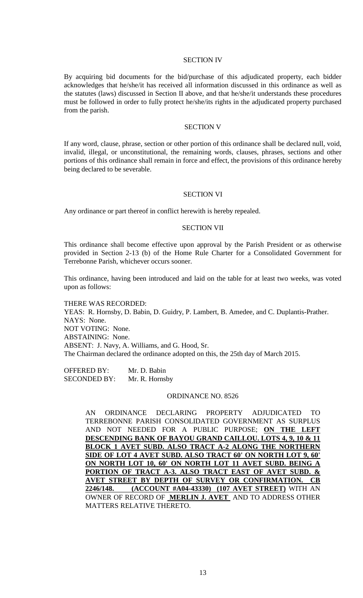### SECTION IV

By acquiring bid documents for the bid/purchase of this adjudicated property, each bidder acknowledges that he/she/it has received all information discussed in this ordinance as well as the statutes (laws) discussed in Section II above, and that he/she/it understands these procedures must be followed in order to fully protect he/she/its rights in the adjudicated property purchased from the parish.

#### SECTION V

If any word, clause, phrase, section or other portion of this ordinance shall be declared null, void, invalid, illegal, or unconstitutional, the remaining words, clauses, phrases, sections and other portions of this ordinance shall remain in force and effect, the provisions of this ordinance hereby being declared to be severable.

## SECTION VI

Any ordinance or part thereof in conflict herewith is hereby repealed.

#### SECTION VII

This ordinance shall become effective upon approval by the Parish President or as otherwise provided in Section 2-13 (b) of the Home Rule Charter for a Consolidated Government for Terrebonne Parish, whichever occurs sooner.

This ordinance, having been introduced and laid on the table for at least two weeks, was voted upon as follows:

THERE WAS RECORDED: YEAS: R. Hornsby, D. Babin, D. Guidry, P. Lambert, B. Amedee, and C. Duplantis-Prather. NAYS: None. NOT VOTING: None. ABSTAINING: None. ABSENT: J. Navy, A. Williams, and G. Hood, Sr. The Chairman declared the ordinance adopted on this, the 25th day of March 2015.

OFFERED BY: Mr. D. Babin SECONDED BY: Mr. R. Hornsby

### ORDINANCE NO. 8526

AN ORDINANCE DECLARING PROPERTY ADJUDICATED TO TERREBONNE PARISH CONSOLIDATED GOVERNMENT AS SURPLUS AND NOT NEEDED FOR A PUBLIC PURPOSE; **ON THE LEFT DESCENDING BANK OF BAYOU GRAND CAILLOU. LOTS 4, 9, 10 & 11 BLOCK 1 AVET SUBD. ALSO TRACT A-2 ALONG THE NORTHERN SIDE OF LOT 4 AVET SUBD. ALSO TRACT 60' ON NORTH LOT 9, 60' ON NORTH LOT 10, 60' ON NORTH LOT 11 AVET SUBD. BEING A PORTION OF TRACT A-3. ALSO TRACT EAST OF AVET SUBD. & AVET STREET BY DEPTH OF SURVEY OR CONFIRMATION. CB 2246/148. (ACCOUNT #A04-43330) (107 AVET STREET)** WITH AN OWNER OF RECORD OF **MERLIN J. AVET** AND TO ADDRESS OTHER MATTERS RELATIVE THERETO.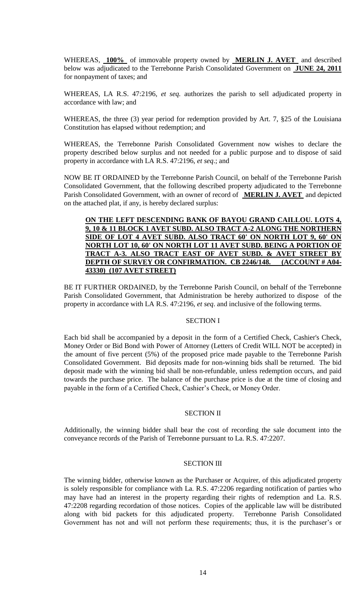WHEREAS, **100%** of immovable property owned by **MERLIN J. AVET** and described below was adjudicated to the Terrebonne Parish Consolidated Government on **JUNE 24, 2011**  for nonpayment of taxes; and

WHEREAS, LA R.S. 47:2196, *et seq.* authorizes the parish to sell adjudicated property in accordance with law; and

WHEREAS, the three (3) year period for redemption provided by Art. 7, §25 of the Louisiana Constitution has elapsed without redemption; and

WHEREAS, the Terrebonne Parish Consolidated Government now wishes to declare the property described below surplus and not needed for a public purpose and to dispose of said property in accordance with LA R.S. 47:2196, *et seq*.; and

NOW BE IT ORDAINED by the Terrebonne Parish Council, on behalf of the Terrebonne Parish Consolidated Government, that the following described property adjudicated to the Terrebonne Parish Consolidated Government, with an owner of record of **MERLIN J. AVET** and depicted on the attached plat, if any, is hereby declared surplus:

# **ON THE LEFT DESCENDING BANK OF BAYOU GRAND CAILLOU. LOTS 4, 9, 10 & 11 BLOCK 1 AVET SUBD. ALSO TRACT A-2 ALONG THE NORTHERN SIDE OF LOT 4 AVET SUBD. ALSO TRACT 60' ON NORTH LOT 9, 60' ON NORTH LOT 10, 60' ON NORTH LOT 11 AVET SUBD. BEING A PORTION OF TRACT A-3. ALSO TRACT EAST OF AVET SUBD. & AVET STREET BY DEPTH OF SURVEY OR CONFIRMATION. CB 2246/148. (ACCOUNT # A04- 43330) (107 AVET STREET)**

BE IT FURTHER ORDAINED, by the Terrebonne Parish Council, on behalf of the Terrebonne Parish Consolidated Government, that Administration be hereby authorized to dispose of the property in accordance with LA R.S. 47:2196, *et seq*. and inclusive of the following terms.

# SECTION I

Each bid shall be accompanied by a deposit in the form of a Certified Check, Cashier's Check, Money Order or Bid Bond with Power of Attorney (Letters of Credit WILL NOT be accepted) in the amount of five percent (5%) of the proposed price made payable to the Terrebonne Parish Consolidated Government. Bid deposits made for non-winning bids shall be returned. The bid deposit made with the winning bid shall be non-refundable, unless redemption occurs, and paid towards the purchase price. The balance of the purchase price is due at the time of closing and payable in the form of a Certified Check, Cashier's Check, or Money Order.

# SECTION II

Additionally, the winning bidder shall bear the cost of recording the sale document into the conveyance records of the Parish of Terrebonne pursuant to La. R.S. 47:2207.

## SECTION III

The winning bidder, otherwise known as the Purchaser or Acquirer, of this adjudicated property is solely responsible for compliance with La. R.S. 47:2206 regarding notification of parties who may have had an interest in the property regarding their rights of redemption and La. R.S. 47:2208 regarding recordation of those notices. Copies of the applicable law will be distributed along with bid packets for this adjudicated property. Terrebonne Parish Consolidated Government has not and will not perform these requirements; thus, it is the purchaser's or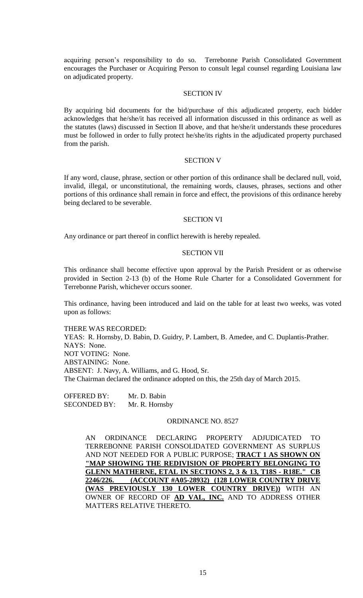acquiring person's responsibility to do so. Terrebonne Parish Consolidated Government encourages the Purchaser or Acquiring Person to consult legal counsel regarding Louisiana law on adjudicated property.

### SECTION IV

By acquiring bid documents for the bid/purchase of this adjudicated property, each bidder acknowledges that he/she/it has received all information discussed in this ordinance as well as the statutes (laws) discussed in Section II above, and that he/she/it understands these procedures must be followed in order to fully protect he/she/its rights in the adjudicated property purchased from the parish.

### SECTION V

If any word, clause, phrase, section or other portion of this ordinance shall be declared null, void, invalid, illegal, or unconstitutional, the remaining words, clauses, phrases, sections and other portions of this ordinance shall remain in force and effect, the provisions of this ordinance hereby being declared to be severable.

### SECTION VI

Any ordinance or part thereof in conflict herewith is hereby repealed.

#### SECTION VII

This ordinance shall become effective upon approval by the Parish President or as otherwise provided in Section 2-13 (b) of the Home Rule Charter for a Consolidated Government for Terrebonne Parish, whichever occurs sooner.

This ordinance, having been introduced and laid on the table for at least two weeks, was voted upon as follows:

THERE WAS RECORDED: YEAS: R. Hornsby, D. Babin, D. Guidry, P. Lambert, B. Amedee, and C. Duplantis-Prather. NAYS: None. NOT VOTING: None. ABSTAINING: None. ABSENT: J. Navy, A. Williams, and G. Hood, Sr. The Chairman declared the ordinance adopted on this, the 25th day of March 2015.

OFFERED BY: Mr. D. Babin SECONDED BY: Mr. R. Hornsby

### ORDINANCE NO. 8527

AN ORDINANCE DECLARING PROPERTY ADJUDICATED TO TERREBONNE PARISH CONSOLIDATED GOVERNMENT AS SURPLUS AND NOT NEEDED FOR A PUBLIC PURPOSE; **TRACT 1 AS SHOWN ON "MAP SHOWING THE REDIVISION OF PROPERTY BELONGING TO GLENN MATHERNE, ETAL IN SECTIONS 2, 3 & 13, T18S - R18E." CB 2246/226. (ACCOUNT #A05-28932) (128 LOWER COUNTRY DRIVE (WAS PREVIOUSLY 130 LOWER COUNTRY DRIVE))** WITH AN OWNER OF RECORD OF **AD VAL, INC.** AND TO ADDRESS OTHER MATTERS RELATIVE THERETO.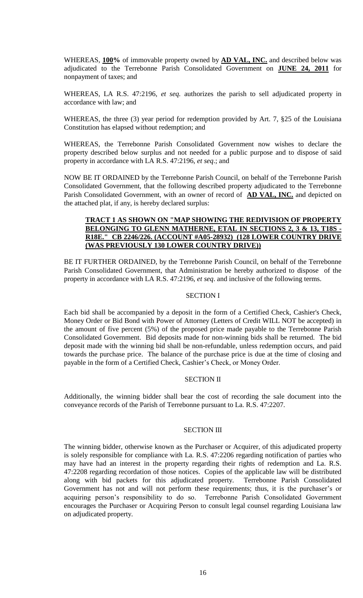WHEREAS, **100%** of immovable property owned by **AD VAL, INC.** and described below was adjudicated to the Terrebonne Parish Consolidated Government on **JUNE 24, 2011** for nonpayment of taxes; and

WHEREAS, LA R.S. 47:2196, *et seq.* authorizes the parish to sell adjudicated property in accordance with law; and

WHEREAS, the three (3) year period for redemption provided by Art. 7, §25 of the Louisiana Constitution has elapsed without redemption; and

WHEREAS, the Terrebonne Parish Consolidated Government now wishes to declare the property described below surplus and not needed for a public purpose and to dispose of said property in accordance with LA R.S. 47:2196, *et seq*.; and

NOW BE IT ORDAINED by the Terrebonne Parish Council, on behalf of the Terrebonne Parish Consolidated Government, that the following described property adjudicated to the Terrebonne Parish Consolidated Government, with an owner of record of **AD VAL, INC.** and depicted on the attached plat, if any, is hereby declared surplus:

# **TRACT 1 AS SHOWN ON "MAP SHOWING THE REDIVISION OF PROPERTY BELONGING TO GLENN MATHERNE, ETAL IN SECTIONS 2, 3 & 13, T18S - R18E." CB 2246/226. (ACCOUNT #A05-28932) (128 LOWER COUNTRY DRIVE (WAS PREVIOUSLY 130 LOWER COUNTRY DRIVE))**

BE IT FURTHER ORDAINED, by the Terrebonne Parish Council, on behalf of the Terrebonne Parish Consolidated Government, that Administration be hereby authorized to dispose of the property in accordance with LA R.S. 47:2196, *et seq*. and inclusive of the following terms.

# SECTION I

Each bid shall be accompanied by a deposit in the form of a Certified Check, Cashier's Check, Money Order or Bid Bond with Power of Attorney (Letters of Credit WILL NOT be accepted) in the amount of five percent (5%) of the proposed price made payable to the Terrebonne Parish Consolidated Government. Bid deposits made for non-winning bids shall be returned. The bid deposit made with the winning bid shall be non-refundable, unless redemption occurs, and paid towards the purchase price. The balance of the purchase price is due at the time of closing and payable in the form of a Certified Check, Cashier's Check, or Money Order.

# SECTION II

Additionally, the winning bidder shall bear the cost of recording the sale document into the conveyance records of the Parish of Terrebonne pursuant to La. R.S. 47:2207.

# SECTION III

The winning bidder, otherwise known as the Purchaser or Acquirer, of this adjudicated property is solely responsible for compliance with La. R.S. 47:2206 regarding notification of parties who may have had an interest in the property regarding their rights of redemption and La. R.S. 47:2208 regarding recordation of those notices. Copies of the applicable law will be distributed along with bid packets for this adjudicated property. Terrebonne Parish Consolidated Government has not and will not perform these requirements; thus, it is the purchaser's or acquiring person's responsibility to do so. Terrebonne Parish Consolidated Government encourages the Purchaser or Acquiring Person to consult legal counsel regarding Louisiana law on adjudicated property.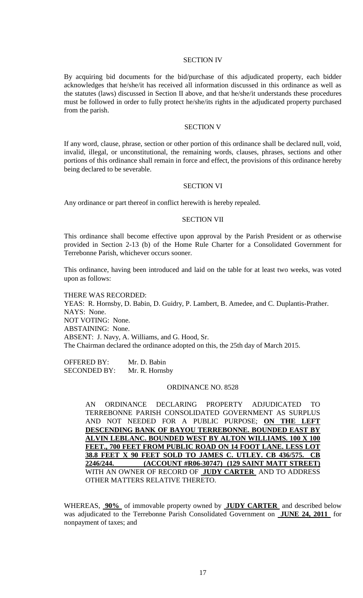### SECTION IV

By acquiring bid documents for the bid/purchase of this adjudicated property, each bidder acknowledges that he/she/it has received all information discussed in this ordinance as well as the statutes (laws) discussed in Section II above, and that he/she/it understands these procedures must be followed in order to fully protect he/she/its rights in the adjudicated property purchased from the parish.

#### SECTION V

If any word, clause, phrase, section or other portion of this ordinance shall be declared null, void, invalid, illegal, or unconstitutional, the remaining words, clauses, phrases, sections and other portions of this ordinance shall remain in force and effect, the provisions of this ordinance hereby being declared to be severable.

#### SECTION VI

Any ordinance or part thereof in conflict herewith is hereby repealed.

### SECTION VII

This ordinance shall become effective upon approval by the Parish President or as otherwise provided in Section 2-13 (b) of the Home Rule Charter for a Consolidated Government for Terrebonne Parish, whichever occurs sooner.

This ordinance, having been introduced and laid on the table for at least two weeks, was voted upon as follows:

THERE WAS RECORDED: YEAS: R. Hornsby, D. Babin, D. Guidry, P. Lambert, B. Amedee, and C. Duplantis-Prather. NAYS: None. NOT VOTING: None. ABSTAINING: None. ABSENT: J. Navy, A. Williams, and G. Hood, Sr. The Chairman declared the ordinance adopted on this, the 25th day of March 2015.

OFFERED BY: Mr. D. Babin SECONDED BY: Mr. R. Hornsby

### ORDINANCE NO. 8528

AN ORDINANCE DECLARING PROPERTY ADJUDICATED TO TERREBONNE PARISH CONSOLIDATED GOVERNMENT AS SURPLUS AND NOT NEEDED FOR A PUBLIC PURPOSE; **ON THE LEFT DESCENDING BANK OF BAYOU TERREBONNE. BOUNDED EAST BY ALVIN LEBLANC. BOUNDED WEST BY ALTON WILLIAMS. 100 X 100 FEET., 700 FEET FROM PUBLIC ROAD ON 14 FOOT LANE. LESS LOT 38.8 FEET X 90 FEET SOLD TO JAMES C. UTLEY. CB 436/575. CB 2246/244. (ACCOUNT #R06-30747) (129 SAINT MATT STREET)** WITH AN OWNER OF RECORD OF **JUDY CARTER** AND TO ADDRESS OTHER MATTERS RELATIVE THERETO.

WHEREAS, **90%** of immovable property owned by **JUDY CARTER** and described below was adjudicated to the Terrebonne Parish Consolidated Government on **JUNE 24, 2011** for nonpayment of taxes; and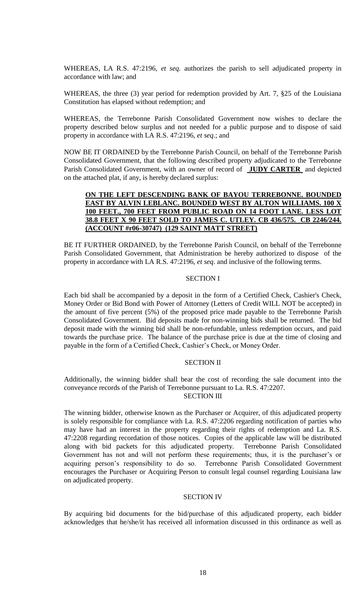WHEREAS, LA R.S. 47:2196, *et seq.* authorizes the parish to sell adjudicated property in accordance with law; and

WHEREAS, the three (3) year period for redemption provided by Art. 7, §25 of the Louisiana Constitution has elapsed without redemption; and

WHEREAS, the Terrebonne Parish Consolidated Government now wishes to declare the property described below surplus and not needed for a public purpose and to dispose of said property in accordance with LA R.S. 47:2196, *et seq*.; and

NOW BE IT ORDAINED by the Terrebonne Parish Council, on behalf of the Terrebonne Parish Consolidated Government, that the following described property adjudicated to the Terrebonne Parish Consolidated Government, with an owner of record of **JUDY CARTER** and depicted on the attached plat, if any, is hereby declared surplus:

## **ON THE LEFT DESCENDING BANK OF BAYOU TERREBONNE. BOUNDED EAST BY ALVIN LEBLANC. BOUNDED WEST BY ALTON WILLIAMS. 100 X 100 FEET., 700 FEET FROM PUBLIC ROAD ON 14 FOOT LANE. LESS LOT 38.8 FEET X 90 FEET SOLD TO JAMES C. UTLEY. CB 436/575. CB 2246/244. (ACCOUNT #r06-30747) (129 SAINT MATT STREET)**

BE IT FURTHER ORDAINED, by the Terrebonne Parish Council, on behalf of the Terrebonne Parish Consolidated Government, that Administration be hereby authorized to dispose of the property in accordance with LA R.S. 47:2196, *et seq*. and inclusive of the following terms.

### SECTION I

Each bid shall be accompanied by a deposit in the form of a Certified Check, Cashier's Check, Money Order or Bid Bond with Power of Attorney (Letters of Credit WILL NOT be accepted) in the amount of five percent (5%) of the proposed price made payable to the Terrebonne Parish Consolidated Government. Bid deposits made for non-winning bids shall be returned. The bid deposit made with the winning bid shall be non-refundable, unless redemption occurs, and paid towards the purchase price. The balance of the purchase price is due at the time of closing and payable in the form of a Certified Check, Cashier's Check, or Money Order.

### SECTION II

Additionally, the winning bidder shall bear the cost of recording the sale document into the conveyance records of the Parish of Terrebonne pursuant to La. R.S. 47:2207.

SECTION III

The winning bidder, otherwise known as the Purchaser or Acquirer, of this adjudicated property is solely responsible for compliance with La. R.S. 47:2206 regarding notification of parties who may have had an interest in the property regarding their rights of redemption and La. R.S. 47:2208 regarding recordation of those notices. Copies of the applicable law will be distributed along with bid packets for this adjudicated property. Terrebonne Parish Consolidated Government has not and will not perform these requirements; thus, it is the purchaser's or acquiring person's responsibility to do so. Terrebonne Parish Consolidated Government encourages the Purchaser or Acquiring Person to consult legal counsel regarding Louisiana law on adjudicated property.

### SECTION IV

By acquiring bid documents for the bid/purchase of this adjudicated property, each bidder acknowledges that he/she/it has received all information discussed in this ordinance as well as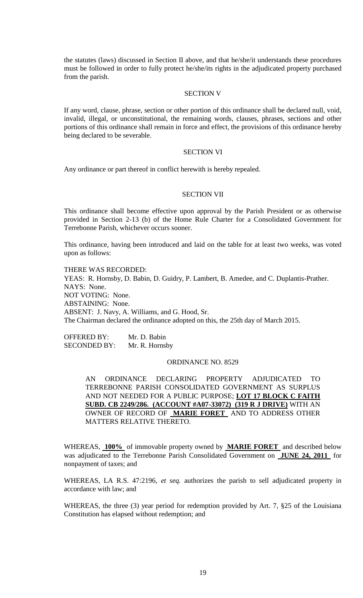the statutes (laws) discussed in Section II above, and that he/she/it understands these procedures must be followed in order to fully protect he/she/its rights in the adjudicated property purchased from the parish.

### SECTION V

If any word, clause, phrase, section or other portion of this ordinance shall be declared null, void, invalid, illegal, or unconstitutional, the remaining words, clauses, phrases, sections and other portions of this ordinance shall remain in force and effect, the provisions of this ordinance hereby being declared to be severable.

### SECTION VI

Any ordinance or part thereof in conflict herewith is hereby repealed.

## SECTION VII

This ordinance shall become effective upon approval by the Parish President or as otherwise provided in Section 2-13 (b) of the Home Rule Charter for a Consolidated Government for Terrebonne Parish, whichever occurs sooner.

This ordinance, having been introduced and laid on the table for at least two weeks, was voted upon as follows:

THERE WAS RECORDED: YEAS: R. Hornsby, D. Babin, D. Guidry, P. Lambert, B. Amedee, and C. Duplantis-Prather. NAYS: None. NOT VOTING: None. ABSTAINING: None. ABSENT: J. Navy, A. Williams, and G. Hood, Sr. The Chairman declared the ordinance adopted on this, the 25th day of March 2015.

OFFERED BY: Mr. D. Babin SECONDED BY: Mr. R. Hornsby

### ORDINANCE NO. 8529

AN ORDINANCE DECLARING PROPERTY ADJUDICATED TO TERREBONNE PARISH CONSOLIDATED GOVERNMENT AS SURPLUS AND NOT NEEDED FOR A PUBLIC PURPOSE; **LOT 17 BLOCK C FAITH SUBD. CB 2249/286. (ACCOUNT #A07-33072) (319 R J DRIVE)** WITH AN OWNER OF RECORD OF **MARIE FORET** AND TO ADDRESS OTHER MATTERS RELATIVE THERETO.

WHEREAS, **100%** of immovable property owned by **MARIE FORET** and described below was adjudicated to the Terrebonne Parish Consolidated Government on **JUNE 24, 2011** for nonpayment of taxes; and

WHEREAS, LA R.S. 47:2196, *et seq.* authorizes the parish to sell adjudicated property in accordance with law; and

WHEREAS, the three (3) year period for redemption provided by Art. 7, §25 of the Louisiana Constitution has elapsed without redemption; and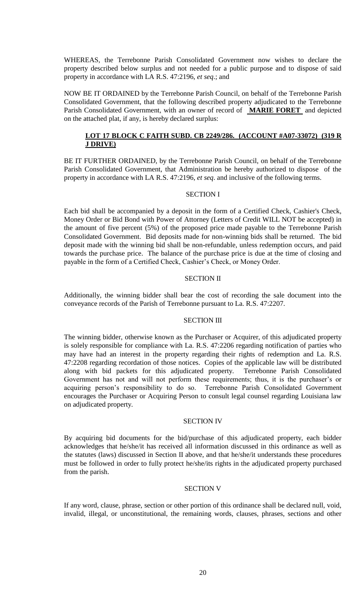WHEREAS, the Terrebonne Parish Consolidated Government now wishes to declare the property described below surplus and not needed for a public purpose and to dispose of said property in accordance with LA R.S. 47:2196, *et seq*.; and

NOW BE IT ORDAINED by the Terrebonne Parish Council, on behalf of the Terrebonne Parish Consolidated Government, that the following described property adjudicated to the Terrebonne Parish Consolidated Government, with an owner of record of **MARIE FORET** and depicted on the attached plat, if any, is hereby declared surplus:

# **LOT 17 BLOCK C FAITH SUBD. CB 2249/286. (ACCOUNT #A07-33072) (319 R J DRIVE)**

BE IT FURTHER ORDAINED, by the Terrebonne Parish Council, on behalf of the Terrebonne Parish Consolidated Government, that Administration be hereby authorized to dispose of the property in accordance with LA R.S. 47:2196, *et seq*. and inclusive of the following terms.

# SECTION I

Each bid shall be accompanied by a deposit in the form of a Certified Check, Cashier's Check, Money Order or Bid Bond with Power of Attorney (Letters of Credit WILL NOT be accepted) in the amount of five percent (5%) of the proposed price made payable to the Terrebonne Parish Consolidated Government. Bid deposits made for non-winning bids shall be returned. The bid deposit made with the winning bid shall be non-refundable, unless redemption occurs, and paid towards the purchase price. The balance of the purchase price is due at the time of closing and payable in the form of a Certified Check, Cashier's Check, or Money Order.

### SECTION II

Additionally, the winning bidder shall bear the cost of recording the sale document into the conveyance records of the Parish of Terrebonne pursuant to La. R.S. 47:2207.

### SECTION III

The winning bidder, otherwise known as the Purchaser or Acquirer, of this adjudicated property is solely responsible for compliance with La. R.S. 47:2206 regarding notification of parties who may have had an interest in the property regarding their rights of redemption and La. R.S. 47:2208 regarding recordation of those notices. Copies of the applicable law will be distributed along with bid packets for this adjudicated property. Terrebonne Parish Consolidated Government has not and will not perform these requirements; thus, it is the purchaser's or acquiring person's responsibility to do so. Terrebonne Parish Consolidated Government encourages the Purchaser or Acquiring Person to consult legal counsel regarding Louisiana law on adjudicated property.

### SECTION IV

By acquiring bid documents for the bid/purchase of this adjudicated property, each bidder acknowledges that he/she/it has received all information discussed in this ordinance as well as the statutes (laws) discussed in Section II above, and that he/she/it understands these procedures must be followed in order to fully protect he/she/its rights in the adjudicated property purchased from the parish.

### SECTION V

If any word, clause, phrase, section or other portion of this ordinance shall be declared null, void, invalid, illegal, or unconstitutional, the remaining words, clauses, phrases, sections and other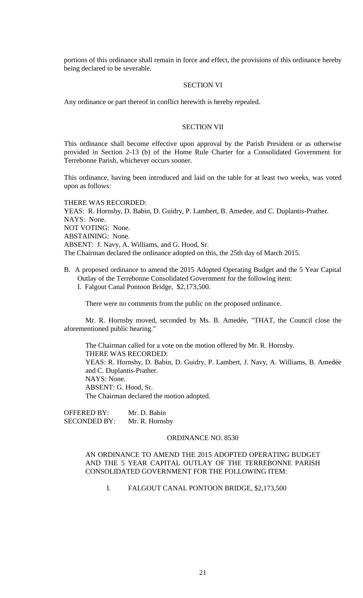portions of this ordinance shall remain in force and effect, the provisions of this ordinance hereby being declared to be severable.

### SECTION VI

Any ordinance or part thereof in conflict herewith is hereby repealed.

### SECTION VII

This ordinance shall become effective upon approval by the Parish President or as otherwise provided in Section 2-13 (b) of the Home Rule Charter for a Consolidated Government for Terrebonne Parish, whichever occurs sooner.

This ordinance, having been introduced and laid on the table for at least two weeks, was voted upon as follows:

THERE WAS RECORDED: YEAS: R. Hornsby, D. Babin, D. Guidry, P. Lambert, B. Amedee, and C. Duplantis-Prather. NAYS: None. NOT VOTING: None. ABSTAINING: None. ABSENT: J. Navy, A. Williams, and G. Hood, Sr. The Chairman declared the ordinance adopted on this, the 25th day of March 2015.

B. A proposed ordinance to amend the 2015 Adopted Operating Budget and the 5 Year Capital Outlay of the Terrebonne Consolidated Government for the following item: I. Falgout Canal Pontoon Bridge, \$2,173,500.

There were no comments from the public on the proposed ordinance.

Mr. R. Hornsby moved, seconded by Ms. B. Amedée, "THAT, the Council close the aforementioned public hearing."

The Chairman called for a vote on the motion offered by Mr. R. Hornsby. THERE WAS RECORDED: YEAS: R. Hornsby, D. Babin, D. Guidry, P. Lambert, J. Navy, A. Williams, B. Amedée and C. Duplantis-Prather. NAYS: None. ABSENT: G. Hood, Sr. The Chairman declared the motion adopted.

OFFERED BY: Mr. D. Babin SECONDED BY: Mr. R. Hornsby

### ORDINANCE NO. 8530

# AN ORDINANCE TO AMEND THE 2015 ADOPTED OPERATING BUDGET AND THE 5 YEAR CAPITAL OUTLAY OF THE TERREBONNE PARISH CONSOLIDATED GOVERNMENT FOR THE FOLLOWING ITEM:

I. FALGOUT CANAL PONTOON BRIDGE, \$2,173,500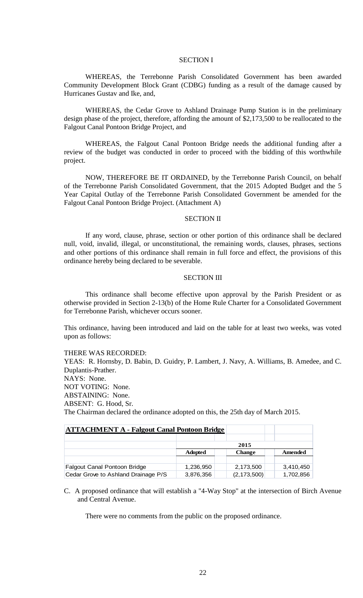### SECTION I

WHEREAS, the Terrebonne Parish Consolidated Government has been awarded Community Development Block Grant (CDBG) funding as a result of the damage caused by Hurricanes Gustav and Ike, and,

WHEREAS, the Cedar Grove to Ashland Drainage Pump Station is in the preliminary design phase of the project, therefore, affording the amount of \$2,173,500 to be reallocated to the Falgout Canal Pontoon Bridge Project, and

WHEREAS, the Falgout Canal Pontoon Bridge needs the additional funding after a review of the budget was conducted in order to proceed with the bidding of this worthwhile project.

NOW, THEREFORE BE IT ORDAINED, by the Terrebonne Parish Council, on behalf of the Terrebonne Parish Consolidated Government, that the 2015 Adopted Budget and the 5 Year Capital Outlay of the Terrebonne Parish Consolidated Government be amended for the Falgout Canal Pontoon Bridge Project. (Attachment A)

### SECTION II

If any word, clause, phrase, section or other portion of this ordinance shall be declared null, void, invalid, illegal, or unconstitutional, the remaining words, clauses, phrases, sections and other portions of this ordinance shall remain in full force and effect, the provisions of this ordinance hereby being declared to be severable.

### SECTION III

This ordinance shall become effective upon approval by the Parish President or as otherwise provided in Section 2-13(b) of the Home Rule Charter for a Consolidated Government for Terrebonne Parish, whichever occurs sooner.

This ordinance, having been introduced and laid on the table for at least two weeks, was voted upon as follows:

### THERE WAS RECORDED:

YEAS: R. Hornsby, D. Babin, D. Guidry, P. Lambert, J. Navy, A. Williams, B. Amedee, and C. Duplantis-Prather. NAYS: None. NOT VOTING: None. ABSTAINING: None. ABSENT: G. Hood, Sr. The Chairman declared the ordinance adopted on this, the 25th day of March 2015.

| <b>ATTACHMENT A - Falgout Canal Pontoon Bridge</b> |                |               |                |
|----------------------------------------------------|----------------|---------------|----------------|
|                                                    |                |               |                |
|                                                    | 2015           |               |                |
|                                                    | <b>Adopted</b> | <b>Change</b> | <b>Amended</b> |
|                                                    |                |               |                |
| Falgout Canal Pontoon Bridge                       | 1,236,950      | 2,173,500     | 3,410,450      |
| Cedar Grove to Ashland Drainage P/S                | 3,876,356      | (2, 173, 500) | 1,702,856      |

C. A proposed ordinance that will establish a "4-Way Stop" at the intersection of Birch Avenue and Central Avenue.

There were no comments from the public on the proposed ordinance.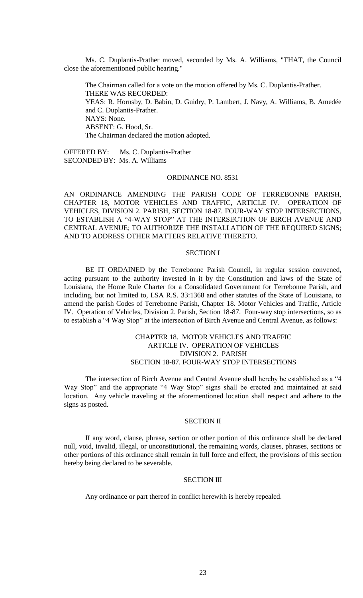Ms. C. Duplantis-Prather moved, seconded by Ms. A. Williams, "THAT, the Council close the aforementioned public hearing."

The Chairman called for a vote on the motion offered by Ms. C. Duplantis-Prather. THERE WAS RECORDED: YEAS: R. Hornsby, D. Babin, D. Guidry, P. Lambert, J. Navy, A. Williams, B. Amedée and C. Duplantis-Prather. NAYS: None. ABSENT: G. Hood, Sr. The Chairman declared the motion adopted.

OFFERED BY: Ms. C. Duplantis-Prather SECONDED BY: Ms. A. Williams

### ORDINANCE NO. 8531

AN ORDINANCE AMENDING THE PARISH CODE OF TERREBONNE PARISH, CHAPTER 18, MOTOR VEHICLES AND TRAFFIC, ARTICLE IV. OPERATION OF VEHICLES, DIVISION 2. PARISH, SECTION 18-87. FOUR-WAY STOP INTERSECTIONS, TO ESTABLISH A "4-WAY STOP" AT THE INTERSECTION OF BIRCH AVENUE AND CENTRAL AVENUE; TO AUTHORIZE THE INSTALLATION OF THE REQUIRED SIGNS; AND TO ADDRESS OTHER MATTERS RELATIVE THERETO.

#### SECTION I

BE IT ORDAINED by the Terrebonne Parish Council, in regular session convened, acting pursuant to the authority invested in it by the Constitution and laws of the State of Louisiana, the Home Rule Charter for a Consolidated Government for Terrebonne Parish, and including, but not limited to, LSA R.S. 33:1368 and other statutes of the State of Louisiana, to amend the parish Codes of Terrebonne Parish, Chapter 18. Motor Vehicles and Traffic, Article IV. Operation of Vehicles, Division 2. Parish, Section 18-87. Four-way stop intersections, so as to establish a "4 Way Stop" at the intersection of Birch Avenue and Central Avenue, as follows:

# CHAPTER 18. MOTOR VEHICLES AND TRAFFIC ARTICLE IV. OPERATION OF VEHICLES DIVISION 2. PARISH SECTION 18-87. FOUR-WAY STOP INTERSECTIONS

The intersection of Birch Avenue and Central Avenue shall hereby be established as a "4 Way Stop" and the appropriate "4 Way Stop" signs shall be erected and maintained at said location. Any vehicle traveling at the aforementioned location shall respect and adhere to the signs as posted.

### SECTION II

If any word, clause, phrase, section or other portion of this ordinance shall be declared null, void, invalid, illegal, or unconstitutional, the remaining words, clauses, phrases, sections or other portions of this ordinance shall remain in full force and effect, the provisions of this section hereby being declared to be severable.

### SECTION III

Any ordinance or part thereof in conflict herewith is hereby repealed.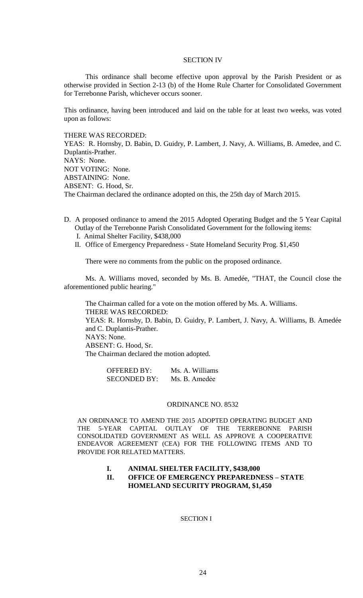### SECTION IV

This ordinance shall become effective upon approval by the Parish President or as otherwise provided in Section 2-13 (b) of the Home Rule Charter for Consolidated Government for Terrebonne Parish, whichever occurs sooner.

This ordinance, having been introduced and laid on the table for at least two weeks, was voted upon as follows:

THERE WAS RECORDED:

YEAS: R. Hornsby, D. Babin, D. Guidry, P. Lambert, J. Navy, A. Williams, B. Amedee, and C. Duplantis-Prather. NAYS: None. NOT VOTING: None. ABSTAINING: None. ABSENT: G. Hood, Sr. The Chairman declared the ordinance adopted on this, the 25th day of March 2015.

- D. A proposed ordinance to amend the 2015 Adopted Operating Budget and the 5 Year Capital Outlay of the Terrebonne Parish Consolidated Government for the following items: I. Animal Shelter Facility, \$438,000
	- II. Office of Emergency Preparedness State Homeland Security Prog. \$1,450

There were no comments from the public on the proposed ordinance.

Ms. A. Williams moved, seconded by Ms. B. Amedée, "THAT, the Council close the aforementioned public hearing."

The Chairman called for a vote on the motion offered by Ms. A. Williams. THERE WAS RECORDED: YEAS: R. Hornsby, D. Babin, D. Guidry, P. Lambert, J. Navy, A. Williams, B. Amedée and C. Duplantis-Prather.

NAYS: None. ABSENT: G. Hood, Sr.

The Chairman declared the motion adopted.

| OFFERED BY:  | Ms. A. Williams |
|--------------|-----------------|
| SECONDED BY: | Ms. B. Amedée   |

#### ORDINANCE NO. 8532

AN ORDINANCE TO AMEND THE 2015 ADOPTED OPERATING BUDGET AND THE 5-YEAR CAPITAL OUTLAY OF THE TERREBONNE PARISH CONSOLIDATED GOVERNMENT AS WELL AS APPROVE A COOPERATIVE ENDEAVOR AGREEMENT (CEA) FOR THE FOLLOWING ITEMS AND TO PROVIDE FOR RELATED MATTERS.

### **I. ANIMAL SHELTER FACILITY, \$438,000**

## **II. OFFICE OF EMERGENCY PREPAREDNESS – STATE HOMELAND SECURITY PROGRAM, \$1,450**

#### SECTION I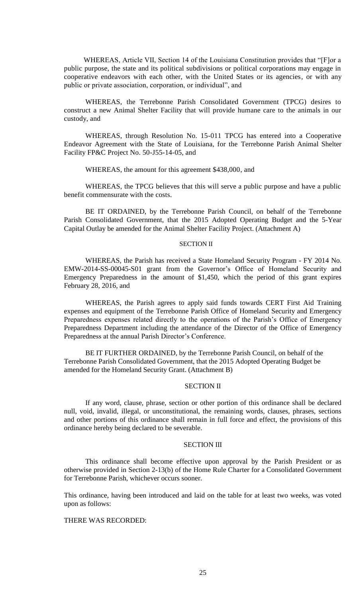WHEREAS, Article VII, Section 14 of the Louisiana Constitution provides that "[F]or a public purpose, the state and its political subdivisions or political corporations may engage in cooperative endeavors with each other, with the United States or its agencies, or with any public or private association, corporation, or individual", and

WHEREAS, the Terrebonne Parish Consolidated Government (TPCG) desires to construct a new Animal Shelter Facility that will provide humane care to the animals in our custody, and

WHEREAS, through Resolution No. 15-011 TPCG has entered into a Cooperative Endeavor Agreement with the State of Louisiana, for the Terrebonne Parish Animal Shelter Facility FP&C Project No. 50-J55-14-05, and

WHEREAS, the amount for this agreement \$438,000, and

WHEREAS, the TPCG believes that this will serve a public purpose and have a public benefit commensurate with the costs.

BE IT ORDAINED, by the Terrebonne Parish Council, on behalf of the Terrebonne Parish Consolidated Government, that the 2015 Adopted Operating Budget and the 5-Year Capital Outlay be amended for the Animal Shelter Facility Project. (Attachment A)

#### SECTION II

WHEREAS, the Parish has received a State Homeland Security Program - FY 2014 No. EMW-2014-SS-00045-S01 grant from the Governor's Office of Homeland Security and Emergency Preparedness in the amount of \$1,450, which the period of this grant expires February 28, 2016, and

WHEREAS, the Parish agrees to apply said funds towards CERT First Aid Training expenses and equipment of the Terrebonne Parish Office of Homeland Security and Emergency Preparedness expenses related directly to the operations of the Parish's Office of Emergency Preparedness Department including the attendance of the Director of the Office of Emergency Preparedness at the annual Parish Director's Conference.

BE IT FURTHER ORDAINED, by the Terrebonne Parish Council, on behalf of the Terrebonne Parish Consolidated Government, that the 2015 Adopted Operating Budget be amended for the Homeland Security Grant. (Attachment B)

### SECTION II

If any word, clause, phrase, section or other portion of this ordinance shall be declared null, void, invalid, illegal, or unconstitutional, the remaining words, clauses, phrases, sections and other portions of this ordinance shall remain in full force and effect, the provisions of this ordinance hereby being declared to be severable.

### SECTION III

This ordinance shall become effective upon approval by the Parish President or as otherwise provided in Section 2-13(b) of the Home Rule Charter for a Consolidated Government for Terrebonne Parish, whichever occurs sooner.

This ordinance, having been introduced and laid on the table for at least two weeks, was voted upon as follows:

### THERE WAS RECORDED: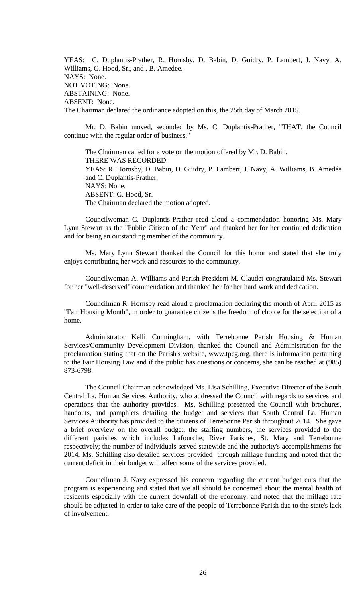YEAS: C. Duplantis-Prather, R. Hornsby, D. Babin, D. Guidry, P. Lambert, J. Navy, A. Williams, G. Hood, Sr., and . B. Amedee. NAYS: None. NOT VOTING: None. ABSTAINING: None. ABSENT: None. The Chairman declared the ordinance adopted on this, the 25th day of March 2015.

Mr. D. Babin moved, seconded by Ms. C. Duplantis-Prather, "THAT, the Council continue with the regular order of business."

The Chairman called for a vote on the motion offered by Mr. D. Babin. THERE WAS RECORDED: YEAS: R. Hornsby, D. Babin, D. Guidry, P. Lambert, J. Navy, A. Williams, B. Amedée and C. Duplantis-Prather. NAYS: None. ABSENT: G. Hood, Sr. The Chairman declared the motion adopted.

Councilwoman C. Duplantis-Prather read aloud a commendation honoring Ms. Mary Lynn Stewart as the "Public Citizen of the Year" and thanked her for her continued dedication and for being an outstanding member of the community.

Ms. Mary Lynn Stewart thanked the Council for this honor and stated that she truly enjoys contributing her work and resources to the community.

Councilwoman A. Williams and Parish President M. Claudet congratulated Ms. Stewart for her "well-deserved" commendation and thanked her for her hard work and dedication.

Councilman R. Hornsby read aloud a proclamation declaring the month of April 2015 as "Fair Housing Month", in order to guarantee citizens the freedom of choice for the selection of a home.

Administrator Kelli Cunningham, with Terrebonne Parish Housing & Human Services/Community Development Division, thanked the Council and Administration for the proclamation stating that on the Parish's website, www.tpcg.org, there is information pertaining to the Fair Housing Law and if the public has questions or concerns, she can be reached at (985) 873-6798.

The Council Chairman acknowledged Ms. Lisa Schilling, Executive Director of the South Central La. Human Services Authority, who addressed the Council with regards to services and operations that the authority provides. Ms. Schilling presented the Council with brochures, handouts, and pamphlets detailing the budget and services that South Central La. Human Services Authority has provided to the citizens of Terrebonne Parish throughout 2014. She gave a brief overview on the overall budget, the staffing numbers, the services provided to the different parishes which includes Lafourche, River Parishes, St. Mary and Terrebonne respectively; the number of individuals served statewide and the authority's accomplishments for 2014. Ms. Schilling also detailed services provided through millage funding and noted that the current deficit in their budget will affect some of the services provided.

Councilman J. Navy expressed his concern regarding the current budget cuts that the program is experiencing and stated that we all should be concerned about the mental health of residents especially with the current downfall of the economy; and noted that the millage rate should be adjusted in order to take care of the people of Terrebonne Parish due to the state's lack of involvement.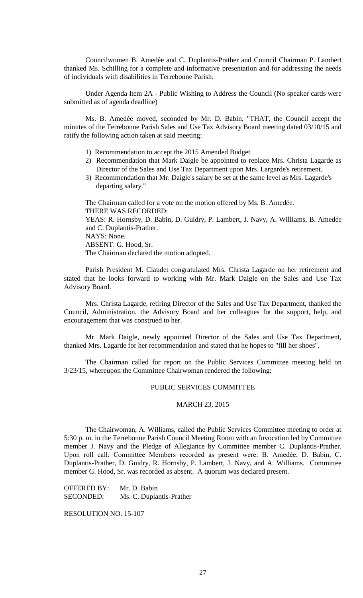Councilwomen B. Amedée and C. Duplantis-Prather and Council Chairman P. Lambert thanked Ms. Schilling for a complete and informative presentation and for addressing the needs of individuals with disabilities in Terrebonne Parish.

Under Agenda Item 2A - Public Wishing to Address the Council (No speaker cards were submitted as of agenda deadline)

Ms. B. Amedée moved, seconded by Mr. D. Babin, "THAT, the Council accept the minutes of the Terrebonne Parish Sales and Use Tax Advisory Board meeting dated 03/10/15 and ratify the following action taken at said meeting:

- 1) Recommendation to accept the 2015 Amended Budget
- 2) Recommendation that Mark Daigle be appointed to replace Mrs. Christa Lagarde as Director of the Sales and Use Tax Department upon Mrs. Largarde's retirement.
- 3) Recommendation that Mr. Daigle's salary be set at the same level as Mrs. Lagarde's departing salary."

The Chairman called for a vote on the motion offered by Ms. B. Amedée. THERE WAS RECORDED: YEAS: R. Hornsby, D. Babin, D. Guidry, P. Lambert, J. Navy, A. Williams, B. Amedée and C. Duplantis-Prather. NAYS: None. ABSENT: G. Hood, Sr. The Chairman declared the motion adopted.

Parish President M. Claudet congratulated Mrs. Christa Lagarde on her retirement and stated that he looks forward to working with Mr. Mark Daigle on the Sales and Use Tax Advisory Board.

Mrs. Christa Lagarde, retiring Director of the Sales and Use Tax Department, thanked the Council, Administration, the Advisory Board and her colleagues for the support, help, and encouragement that was construed to her.

Mr. Mark Daigle, newly appointed Director of the Sales and Use Tax Department, thanked Mrs. Lagarde for her recommendation and stated that he hopes to "fill her shoes".

The Chairman called for report on the Public Services Committee meeting held on 3/23/15, whereupon the Committee Chairwoman rendered the following:

# PUBLIC SERVICES COMMITTEE

#### MARCH 23, 2015

The Chairwoman, A. Williams, called the Public Services Committee meeting to order at 5:30 p. m. in the Terrebonne Parish Council Meeting Room with an Invocation led by Committee member J. Navy and the Pledge of Allegiance by Committee member C. Duplantis-Prather. Upon roll call, Committee Members recorded as present were: B. Amedẻe, D. Babin, C. Duplantis-Prather, D. Guidry, R. Hornsby, P. Lambert, J. Navy, and A. Williams. Committee member G. Hood, Sr. was recorded as absent. A quorum was declared present.

OFFERED BY: Mr. D. Babin SECONDED: Ms. C. Duplantis-Prather

RESOLUTION NO. 15-107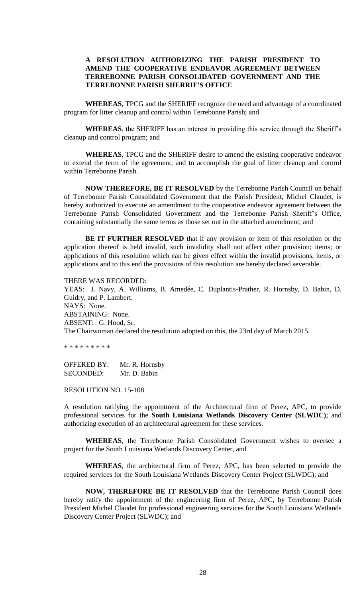# **A RESOLUTION AUTHORIZING THE PARISH PRESIDENT TO AMEND THE COOPERATIVE ENDEAVOR AGREEMENT BETWEEN TERREBONNE PARISH CONSOLIDATED GOVERNMENT AND THE TERREBONNE PARISH SHERRIF'S OFFICE**

**WHEREAS**, TPCG and the SHERIFF recognize the need and advantage of a coordinated program for litter cleanup and control within Terrebonne Parish; and

**WHEREAS**, the SHERIFF has an interest in providing this service through the Sheriff's cleanup and control program; and

**WHEREAS**, TPCG and the SHERIFF desire to amend the existing cooperative endeavor to extend the term of the agreement, and to accomplish the goal of litter cleanup and control within Terrebonne Parish.

**NOW THEREFORE, BE IT RESOLVED** by the Terrebonne Parish Council on behalf of Terrebonne Parish Consolidated Government that the Parish President, Michel Claudet, is hereby authorized to execute an amendment to the cooperative endeavor agreement between the Terrebonne Parish Consolidated Government and the Terrebonne Parish Sheriff's Office, containing substantially the same terms as those set out in the attached amendment; and

**BE IT FURTHER RESOLVED** that if any provision or item of this resolution or the application thereof is held invalid, such invalidity shall not affect other provision; items; or applications of this resolution which can be given effect within the invalid provisions, items, or applications and to this end the provisions of this resolution are hereby declared severable.

THERE WAS RECORDED: YEAS: J. Navy, A. Williams, B. Amedée, C. Duplantis-Prather, R. Hornsby, D. Babin, D. Guidry, and P. Lambert. NAYS: None. ABSTAINING: None. ABSENT: G. Hood, Sr. The Chairwoman declared the resolution adopted on this, the 23rd day of March 2015.

\* \* \* \* \* \* \* \* \*

OFFERED BY: Mr. R. Hornsby SECONDED: Mr. D. Babin

RESOLUTION NO. 15-108

A resolution ratifying the appointment of the Architectural firm of Perez, APC, to provide professional services for the **South Louisiana Wetlands Discovery Center (SLWDC)**; and authorizing execution of an architectural agreement for these services.

**WHEREAS**, the Terrebonne Parish Consolidated Government wishes to oversee a project for the South Louisiana Wetlands Discovery Center, and

**WHEREAS**, the architectural firm of Perez, APC, has been selected to provide the required services for the South Louisiana Wetlands Discovery Center Project (SLWDC); and

**NOW, THEREFORE BE IT RESOLVED** that the Terrebonne Parish Council does hereby ratify the appointment of the engineering firm of Perez, APC, by Terrebonne Parish President Michel Claudet for professional engineering services for the South Louisiana Wetlands Discovery Center Project (SLWDC); and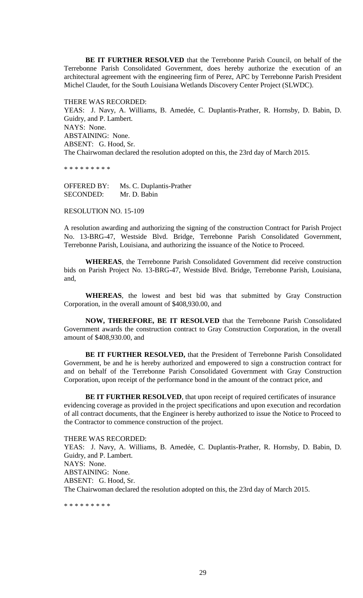**BE IT FURTHER RESOLVED** that the Terrebonne Parish Council, on behalf of the Terrebonne Parish Consolidated Government, does hereby authorize the execution of an architectural agreement with the engineering firm of Perez, APC by Terrebonne Parish President Michel Claudet, for the South Louisiana Wetlands Discovery Center Project (SLWDC).

THERE WAS RECORDED: YEAS: J. Navy, A. Williams, B. Amedée, C. Duplantis-Prather, R. Hornsby, D. Babin, D. Guidry, and P. Lambert. NAYS: None. ABSTAINING: None. ABSENT: G. Hood, Sr. The Chairwoman declared the resolution adopted on this, the 23rd day of March 2015.

\* \* \* \* \* \* \* \* \*

OFFERED BY: Ms. C. Duplantis-Prather SECONDED: Mr. D. Babin

RESOLUTION NO. 15-109

A resolution awarding and authorizing the signing of the construction Contract for Parish Project No. 13-BRG-47, Westside Blvd. Bridge, Terrebonne Parish Consolidated Government, Terrebonne Parish, Louisiana, and authorizing the issuance of the Notice to Proceed.

**WHEREAS**, the Terrebonne Parish Consolidated Government did receive construction bids on Parish Project No. 13-BRG-47, Westside Blvd. Bridge, Terrebonne Parish, Louisiana, and,

**WHEREAS**, the lowest and best bid was that submitted by Gray Construction Corporation, in the overall amount of \$408,930.00, and

**NOW, THEREFORE, BE IT RESOLVED** that the Terrebonne Parish Consolidated Government awards the construction contract to Gray Construction Corporation, in the overall amount of \$408,930.00, and

**BE IT FURTHER RESOLVED,** that the President of Terrebonne Parish Consolidated Government, be and he is hereby authorized and empowered to sign a construction contract for and on behalf of the Terrebonne Parish Consolidated Government with Gray Construction Corporation, upon receipt of the performance bond in the amount of the contract price, and

**BE IT FURTHER RESOLVED**, that upon receipt of required certificates of insurance evidencing coverage as provided in the project specifications and upon execution and recordation of all contract documents, that the Engineer is hereby authorized to issue the Notice to Proceed to the Contractor to commence construction of the project.

THERE WAS RECORDED: YEAS: J. Navy, A. Williams, B. Amedée, C. Duplantis-Prather, R. Hornsby, D. Babin, D. Guidry, and P. Lambert. NAYS: None. ABSTAINING: None. ABSENT: G. Hood, Sr. The Chairwoman declared the resolution adopted on this, the 23rd day of March 2015.

\* \* \* \* \* \* \* \* \*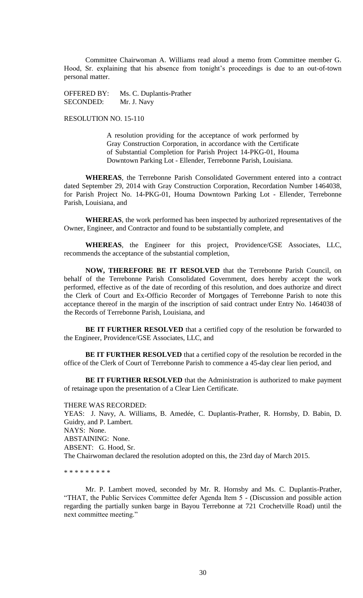Committee Chairwoman A. Williams read aloud a memo from Committee member G. Hood, Sr. explaining that his absence from tonight's proceedings is due to an out-of-town personal matter.

OFFERED BY: Ms. C. Duplantis-Prather SECONDED: Mr. J. Navy

# RESOLUTION NO. 15-110

A resolution providing for the acceptance of work performed by Gray Construction Corporation, in accordance with the Certificate of Substantial Completion for Parish Project 14-PKG-01, Houma Downtown Parking Lot - Ellender, Terrebonne Parish, Louisiana.

**WHEREAS**, the Terrebonne Parish Consolidated Government entered into a contract dated September 29, 2014 with Gray Construction Corporation, Recordation Number 1464038, for Parish Project No. 14-PKG-01, Houma Downtown Parking Lot - Ellender, Terrebonne Parish, Louisiana, and

**WHEREAS**, the work performed has been inspected by authorized representatives of the Owner, Engineer, and Contractor and found to be substantially complete, and

**WHEREAS**, the Engineer for this project, Providence/GSE Associates, LLC, recommends the acceptance of the substantial completion,

**NOW, THEREFORE BE IT RESOLVED** that the Terrebonne Parish Council, on behalf of the Terrebonne Parish Consolidated Government, does hereby accept the work performed, effective as of the date of recording of this resolution, and does authorize and direct the Clerk of Court and Ex-Officio Recorder of Mortgages of Terrebonne Parish to note this acceptance thereof in the margin of the inscription of said contract under Entry No. 1464038 of the Records of Terrebonne Parish, Louisiana, and

**BE IT FURTHER RESOLVED** that a certified copy of the resolution be forwarded to the Engineer, Providence/GSE Associates, LLC, and

**BE IT FURTHER RESOLVED** that a certified copy of the resolution be recorded in the office of the Clerk of Court of Terrebonne Parish to commence a 45-day clear lien period, and

**BE IT FURTHER RESOLVED** that the Administration is authorized to make payment of retainage upon the presentation of a Clear Lien Certificate.

THERE WAS RECORDED: YEAS: J. Navy, A. Williams, B. Amedée, C. Duplantis-Prather, R. Hornsby, D. Babin, D. Guidry, and P. Lambert. NAYS: None. ABSTAINING: None. ABSENT: G. Hood, Sr. The Chairwoman declared the resolution adopted on this, the 23rd day of March 2015.

\* \* \* \* \* \* \* \* \*

Mr. P. Lambert moved, seconded by Mr. R. Hornsby and Ms. C. Duplantis-Prather, "THAT, the Public Services Committee defer Agenda Item 5 - (Discussion and possible action regarding the partially sunken barge in Bayou Terrebonne at 721 Crochetville Road) until the next committee meeting."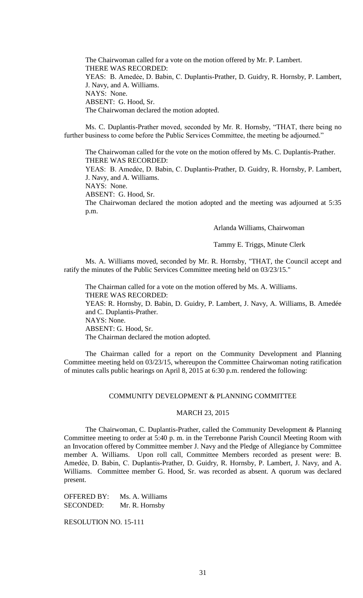The Chairwoman called for a vote on the motion offered by Mr. P. Lambert. THERE WAS RECORDED: YEAS: B. Amedẻe, D. Babin, C. Duplantis-Prather, D. Guidry, R. Hornsby, P. Lambert, J. Navy, and A. Williams. NAYS: None. ABSENT: G. Hood, Sr. The Chairwoman declared the motion adopted.

Ms. C. Duplantis-Prather moved, seconded by Mr. R. Hornsby, "THAT, there being no further business to come before the Public Services Committee, the meeting be adjourned."

The Chairwoman called for the vote on the motion offered by Ms. C. Duplantis-Prather. THERE WAS RECORDED:

YEAS: B. Amedẻe, D. Babin, C. Duplantis-Prather, D. Guidry, R. Hornsby, P. Lambert, J. Navy, and A. Williams.

NAYS: None.

ABSENT: G. Hood, Sr.

The Chairwoman declared the motion adopted and the meeting was adjourned at 5:35 p.m.

Arlanda Williams, Chairwoman

Tammy E. Triggs, Minute Clerk

Ms. A. Williams moved, seconded by Mr. R. Hornsby, "THAT, the Council accept and ratify the minutes of the Public Services Committee meeting held on 03/23/15."

The Chairman called for a vote on the motion offered by Ms. A. Williams. THERE WAS RECORDED: YEAS: R. Hornsby, D. Babin, D. Guidry, P. Lambert, J. Navy, A. Williams, B. Amedée and C. Duplantis-Prather. NAYS: None. ABSENT: G. Hood, Sr. The Chairman declared the motion adopted.

The Chairman called for a report on the Community Development and Planning Committee meeting held on 03/23/15, whereupon the Committee Chairwoman noting ratification of minutes calls public hearings on April 8, 2015 at 6:30 p.m. rendered the following:

### COMMUNITY DEVELOPMENT & PLANNING COMMITTEE

## MARCH 23, 2015

The Chairwoman, C. Duplantis-Prather, called the Community Development & Planning Committee meeting to order at 5:40 p. m. in the Terrebonne Parish Council Meeting Room with an Invocation offered by Committee member J. Navy and the Pledge of Allegiance by Committee member A. Williams. Upon roll call, Committee Members recorded as present were: B. Amedẻe, D. Babin, C. Duplantis-Prather, D. Guidry, R. Hornsby, P. Lambert, J. Navy, and A. Williams. Committee member G. Hood, Sr. was recorded as absent. A quorum was declared present.

OFFERED BY: Ms. A. Williams SECONDED: Mr. R. Hornsby

RESOLUTION NO. 15-111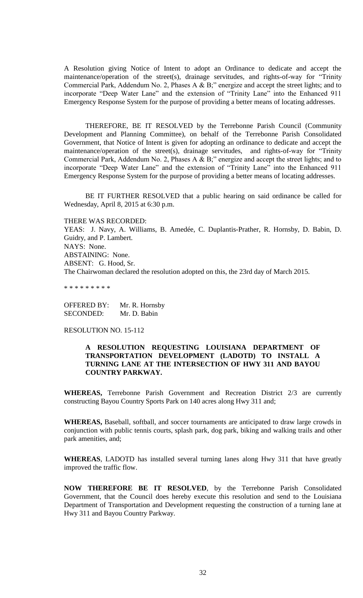A Resolution giving Notice of Intent to adopt an Ordinance to dedicate and accept the maintenance/operation of the street(s), drainage servitudes, and rights-of-way for "Trinity Commercial Park, Addendum No. 2, Phases A & B;" energize and accept the street lights; and to incorporate "Deep Water Lane" and the extension of "Trinity Lane" into the Enhanced 911 Emergency Response System for the purpose of providing a better means of locating addresses.

THEREFORE, BE IT RESOLVED by the Terrebonne Parish Council (Community Development and Planning Committee), on behalf of the Terrebonne Parish Consolidated Government, that Notice of Intent is given for adopting an ordinance to dedicate and accept the maintenance/operation of the street(s), drainage servitudes, and rights-of-way for "Trinity Commercial Park, Addendum No. 2, Phases A & B;" energize and accept the street lights; and to incorporate "Deep Water Lane" and the extension of "Trinity Lane" into the Enhanced 911 Emergency Response System for the purpose of providing a better means of locating addresses.

BE IT FURTHER RESOLVED that a public hearing on said ordinance be called for Wednesday, April 8, 2015 at 6:30 p.m.

THERE WAS RECORDED:

YEAS: J. Navy, A. Williams, B. Amedée, C. Duplantis-Prather, R. Hornsby, D. Babin, D. Guidry, and P. Lambert. NAYS: None. ABSTAINING: None. ABSENT: G. Hood, Sr. The Chairwoman declared the resolution adopted on this, the 23rd day of March 2015.

\* \* \* \* \* \* \* \* \*

OFFERED BY: Mr. R. Hornsby SECONDED: Mr. D. Babin

RESOLUTION NO. 15-112

# **A RESOLUTION REQUESTING LOUISIANA DEPARTMENT OF TRANSPORTATION DEVELOPMENT (LADOTD) TO INSTALL A TURNING LANE AT THE INTERSECTION OF HWY 311 AND BAYOU COUNTRY PARKWAY.**

**WHEREAS,** Terrebonne Parish Government and Recreation District 2/3 are currently constructing Bayou Country Sports Park on 140 acres along Hwy 311 and;

**WHEREAS,** Baseball, softball, and soccer tournaments are anticipated to draw large crowds in conjunction with public tennis courts, splash park, dog park, biking and walking trails and other park amenities, and;

**WHEREAS**, LADOTD has installed several turning lanes along Hwy 311 that have greatly improved the traffic flow.

**NOW THEREFORE BE IT RESOLVED**, by the Terrebonne Parish Consolidated Government, that the Council does hereby execute this resolution and send to the Louisiana Department of Transportation and Development requesting the construction of a turning lane at Hwy 311 and Bayou Country Parkway.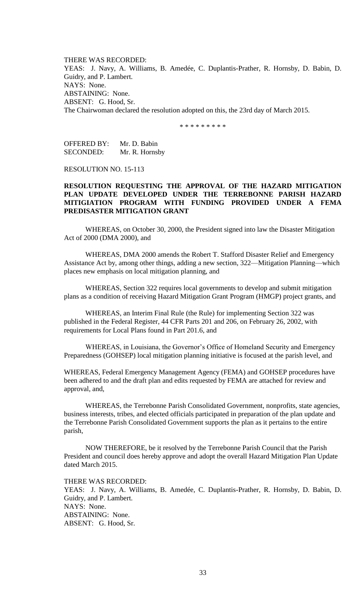THERE WAS RECORDED: YEAS: J. Navy, A. Williams, B. Amedée, C. Duplantis-Prather, R. Hornsby, D. Babin, D. Guidry, and P. Lambert. NAYS: None. ABSTAINING: None. ABSENT: G. Hood, Sr. The Chairwoman declared the resolution adopted on this, the 23rd day of March 2015.

\* \* \* \* \* \* \* \* \*

OFFERED BY: Mr. D. Babin SECONDED: Mr. R. Hornsby

RESOLUTION NO. 15-113

# **RESOLUTION REQUESTING THE APPROVAL OF THE HAZARD MITIGATION PLAN UPDATE DEVELOPED UNDER THE TERREBONNE PARISH HAZARD MITIGIATION PROGRAM WITH FUNDING PROVIDED UNDER A FEMA PREDISASTER MITIGATION GRANT**

WHEREAS, on October 30, 2000, the President signed into law the Disaster Mitigation Act of 2000 (DMA 2000), and

WHEREAS, DMA 2000 amends the Robert T. Stafford Disaster Relief and Emergency Assistance Act by, among other things, adding a new section, 322—Mitigation Planning—which places new emphasis on local mitigation planning, and

WHEREAS, Section 322 requires local governments to develop and submit mitigation plans as a condition of receiving Hazard Mitigation Grant Program (HMGP) project grants, and

WHEREAS, an Interim Final Rule (the Rule) for implementing Section 322 was published in the Federal Register, 44 CFR Parts 201 and 206, on February 26, 2002, with requirements for Local Plans found in Part 201.6, and

WHEREAS, in Louisiana, the Governor's Office of Homeland Security and Emergency Preparedness (GOHSEP) local mitigation planning initiative is focused at the parish level, and

WHEREAS, Federal Emergency Management Agency (FEMA) and GOHSEP procedures have been adhered to and the draft plan and edits requested by FEMA are attached for review and approval, and,

WHEREAS, the Terrebonne Parish Consolidated Government, nonprofits, state agencies, business interests, tribes, and elected officials participated in preparation of the plan update and the Terrebonne Parish Consolidated Government supports the plan as it pertains to the entire parish,

NOW THEREFORE, be it resolved by the Terrebonne Parish Council that the Parish President and council does hereby approve and adopt the overall Hazard Mitigation Plan Update dated March 2015.

THERE WAS RECORDED:

YEAS: J. Navy, A. Williams, B. Amedée, C. Duplantis-Prather, R. Hornsby, D. Babin, D. Guidry, and P. Lambert. NAYS: None. ABSTAINING: None. ABSENT: G. Hood, Sr.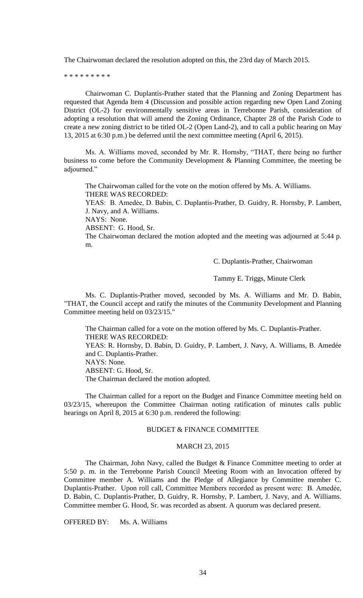The Chairwoman declared the resolution adopted on this, the 23rd day of March 2015.

\* \* \* \* \* \* \* \* \*

Chairwoman C. Duplantis-Prather stated that the Planning and Zoning Department has requested that Agenda Item 4 (Discussion and possible action regarding new Open Land Zoning District (OL-2) for environmentally sensitive areas in Terrebonne Parish, consideration of adopting a resolution that will amend the Zoning Ordinance, Chapter 28 of the Parish Code to create a new zoning district to be titled OL-2 (Open Land-2), and to call a public hearing on May 13, 2015 at 6:30 p.m.) be deferred until the next committee meeting (April 6, 2015).

Ms. A. Williams moved, seconded by Mr. R. Hornsby, "THAT, there being no further business to come before the Community Development & Planning Committee, the meeting be adjourned."

The Chairwoman called for the vote on the motion offered by Ms. A. Williams. THERE WAS RECORDED: YEAS: B. Amedẻe, D. Babin, C. Duplantis-Prather, D. Guidry, R. Hornsby, P. Lambert, J. Navy, and A. Williams. NAYS: None. ABSENT: G. Hood, Sr. The Chairwoman declared the motion adopted and the meeting was adjourned at 5:44 p. m.

C. Duplantis-Prather, Chairwoman

Tammy E. Triggs, Minute Clerk

Ms. C. Duplantis-Prather moved, seconded by Ms. A. Williams and Mr. D. Babin, "THAT, the Council accept and ratify the minutes of the Community Development and Planning Committee meeting held on 03/23/15."

The Chairman called for a vote on the motion offered by Ms. C. Duplantis-Prather. THERE WAS RECORDED:

YEAS: R. Hornsby, D. Babin, D. Guidry, P. Lambert, J. Navy, A. Williams, B. Amedée and C. Duplantis-Prather.

NAYS: None.

ABSENT: G. Hood, Sr.

The Chairman declared the motion adopted.

The Chairman called for a report on the Budget and Finance Committee meeting held on 03/23/15, whereupon the Committee Chairman noting ratification of minutes calls public hearings on April 8, 2015 at 6:30 p.m. rendered the following:

# BUDGET & FINANCE COMMITTEE

#### MARCH 23, 2015

The Chairman, John Navy, called the Budget & Finance Committee meeting to order at 5:50 p. m. in the Terrebonne Parish Council Meeting Room with an Invocation offered by Committee member A. Williams and the Pledge of Allegiance by Committee member C. Duplantis-Prather. Upon roll call, Committee Members recorded as present were: B. Amedẻe, D. Babin, C. Duplantis-Prather, D. Guidry, R. Hornsby, P. Lambert, J. Navy, and A. Williams. Committee member G. Hood, Sr. was recorded as absent. A quorum was declared present.

OFFERED BY: Ms. A. Williams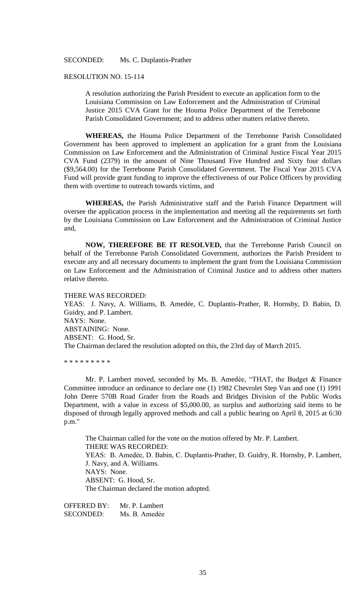### SECONDED: Ms. C. Duplantis-Prather

### RESOLUTION NO. 15-114

A resolution authorizing the Parish President to execute an application form to the Louisiana Commission on Law Enforcement and the Administration of Criminal Justice 2015 CVA Grant for the Houma Police Department of the Terrebonne Parish Consolidated Government; and to address other matters relative thereto.

**WHEREAS,** the Houma Police Department of the Terrebonne Parish Consolidated Government has been approved to implement an application for a grant from the Louisiana Commission on Law Enforcement and the Administration of Criminal Justice Fiscal Year 2015 CVA Fund (2379) in the amount of Nine Thousand Five Hundred and Sixty four dollars (\$9,564.00) for the Terrebonne Parish Consolidated Government. The Fiscal Year 2015 CVA Fund will provide grant funding to improve the effectiveness of our Police Officers by providing them with overtime to outreach towards victims, and

**WHEREAS,** the Parish Administrative staff and the Parish Finance Department will oversee the application process in the implementation and meeting all the requirements set forth by the Louisiana Commission on Law Enforcement and the Administration of Criminal Justice and,

**NOW, THEREFORE BE IT RESOLVED,** that the Terrebonne Parish Council on behalf of the Terrebonne Parish Consolidated Government, authorizes the Parish President to execute any and all necessary documents to implement the grant from the Louisiana Commission on Law Enforcement and the Administration of Criminal Justice and to address other matters relative thereto.

#### THERE WAS RECORDED:

YEAS: J. Navy, A. Williams, B. Amedée, C. Duplantis-Prather, R. Hornsby, D. Babin, D. Guidry, and P. Lambert. NAYS: None. ABSTAINING: None. ABSENT: G. Hood, Sr. The Chairman declared the resolution adopted on this, the 23rd day of March 2015.

\* \* \* \* \* \* \* \* \*

Mr. P. Lambert moved, seconded by Ms. B. Amedèe, "THAT, the Budget & Finance Committee introduce an ordinance to declare one (1) 1982 Chevrolet Step Van and one (1) 1991 John Deere 570B Road Grader from the Roads and Bridges Division of the Public Works Department, with a value in excess of \$5,000.00, as surplus and authorizing said items to be disposed of through legally approved methods and call a public hearing on April 8, 2015 at 6:30 p.m."

The Chairman called for the vote on the motion offered by Mr. P. Lambert. THERE WAS RECORDED: YEAS: B. Amedẻe, D. Babin, C. Duplantis-Prather, D. Guidry, R. Hornsby, P. Lambert, J. Navy, and A. Williams. NAYS: None. ABSENT: G. Hood, Sr. The Chairman declared the motion adopted.

OFFERED BY: Mr. P. Lambert SECONDED: Ms. B. Amedée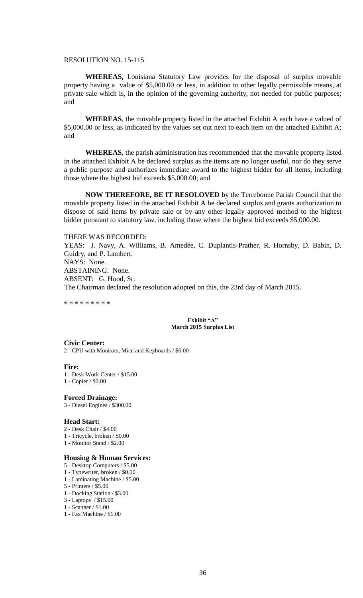### RESOLUTION NO. 15-115

**WHEREAS,** Louisiana Statutory Law provides for the disposal of surplus movable property having a value of \$5,000.00 or less, in addition to other legally permissible means, at private sale which is, in the opinion of the governing authority, not needed for public purposes; and

**WHEREAS**, the movable property listed in the attached Exhibit A each have a valued of \$5,000.00 or less, as indicated by the values set out next to each item on the attached Exhibit A; and

**WHEREAS**, the parish administration has recommended that the movable property listed in the attached Exhibit A be declared surplus as the items are no longer useful, nor do they serve a public purpose and authorizes immediate award to the highest bidder for all items, including those where the highest bid exceeds \$5,000.00; and

**NOW THEREFORE, BE IT RESOLOVED** by the Terrebonne Parish Council that the movable property listed in the attached Exhibit A be declared surplus and grants authorization to dispose of said items by private sale or by any other legally approved method to the highest bidder pursuant to statutory law, including those where the highest bid exceeds \$5,000.00.

#### THERE WAS RECORDED:

YEAS: J. Navy, A. Williams, B. Amedée, C. Duplantis-Prather, R. Hornsby, D. Babin, D. Guidry, and P. Lambert. NAYS: None. ABSTAINING: None. ABSENT: G. Hood, Sr. The Chairman declared the resolution adopted on this, the 23rd day of March 2015.

\* \* \* \* \* \* \* \* \*

#### **Exhibit "A" March 2015 Surplus List**

**Civic Center:** 2 - CPU with Monitors, Mice and Keyboards / \$6.00

**Fire:**

1 - Desk Work Center / \$15.00 1 - Copier / \$2.00

**Forced Drainage:**

3 - Diesel Engines / \$300.00

### **Head Start:**

- 2 Desk Chair / \$4.00
- 1 Tricycle, broken / \$0.00
- 1 Monitor Stand / \$2.00

### **Housing & Human Services:**

- 5 Desktop Computers / \$5.00
- 1 Typewriter, broken / \$0.00
- 1 Laminating Machine / \$5.00
- 5 Printers / \$5.00
- 1 Docking Station / \$3.00
- 3 Laptops / \$15.00 1 - Scanner / \$1.00
- 
- 1 Fax Machine / \$1.00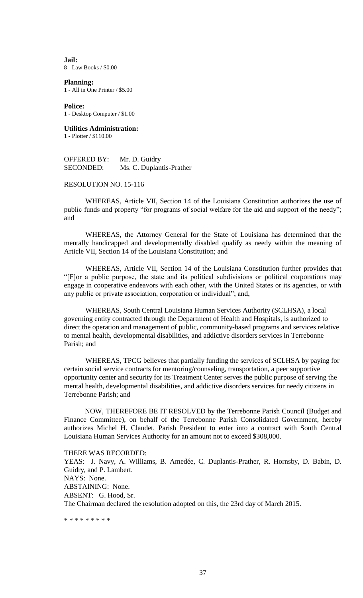**Jail:** 8 - Law Books / \$0.00

**Planning:** 1 - All in One Printer / \$5.00

**Police:** 1 - Desktop Computer / \$1.00

**Utilities Administration:** 1 - Plotter / \$110.00

OFFERED BY: Mr. D. Guidry SECONDED: Ms. C. Duplantis-Prather

RESOLUTION NO. 15-116

WHEREAS, Article VII, Section 14 of the Louisiana Constitution authorizes the use of public funds and property "for programs of social welfare for the aid and support of the needy"; and

WHEREAS, the Attorney General for the State of Louisiana has determined that the mentally handicapped and developmentally disabled qualify as needy within the meaning of Article VII, Section 14 of the Louisiana Constitution; and

WHEREAS, Article VII, Section 14 of the Louisiana Constitution further provides that "[F]or a public purpose, the state and its political subdivisions or political corporations may engage in cooperative endeavors with each other, with the United States or its agencies, or with any public or private association, corporation or individual"; and,

WHEREAS, South Central Louisiana Human Services Authority (SCLHSA), a local governing entity contracted through the Department of Health and Hospitals, is authorized to direct the operation and management of public, community-based programs and services relative to mental health, developmental disabilities, and addictive disorders services in Terrebonne Parish; and

WHEREAS, TPCG believes that partially funding the services of SCLHSA by paying for certain social service contracts for mentoring/counseling, transportation, a peer supportive opportunity center and security for its Treatment Center serves the public purpose of serving the mental health, developmental disabilities, and addictive disorders services for needy citizens in Terrebonne Parish; and

NOW, THEREFORE BE IT RESOLVED by the Terrebonne Parish Council (Budget and Finance Committee), on behalf of the Terrebonne Parish Consolidated Government, hereby authorizes Michel H. Claudet, Parish President to enter into a contract with South Central Louisiana Human Services Authority for an amount not to exceed \$308,000.

THERE WAS RECORDED:

YEAS: J. Navy, A. Williams, B. Amedée, C. Duplantis-Prather, R. Hornsby, D. Babin, D. Guidry, and P. Lambert. NAYS: None. ABSTAINING: None. ABSENT: G. Hood, Sr. The Chairman declared the resolution adopted on this, the 23rd day of March 2015.

\* \* \* \* \* \* \* \* \*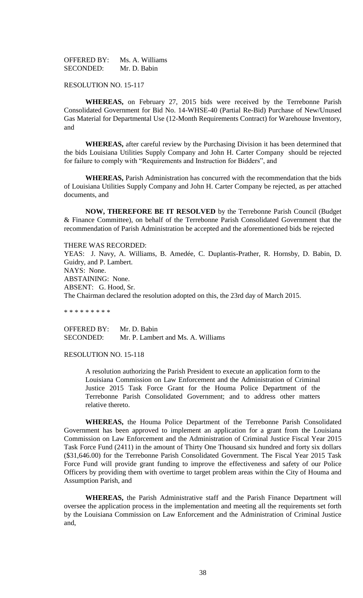OFFERED BY: Ms. A. Williams SECONDED: Mr. D. Babin

RESOLUTION NO. 15-117

**WHEREAS,** on February 27, 2015 bids were received by the Terrebonne Parish Consolidated Government for Bid No. 14-WHSE-40 (Partial Re-Bid) Purchase of New/Unused Gas Material for Departmental Use (12-Month Requirements Contract) for Warehouse Inventory, and

**WHEREAS,** after careful review by the Purchasing Division it has been determined that the bids Louisiana Utilities Supply Company and John H. Carter Company should be rejected for failure to comply with "Requirements and Instruction for Bidders", and

**WHEREAS,** Parish Administration has concurred with the recommendation that the bids of Louisiana Utilities Supply Company and John H. Carter Company be rejected, as per attached documents, and

**NOW, THEREFORE BE IT RESOLVED** by the Terrebonne Parish Council (Budget & Finance Committee), on behalf of the Terrebonne Parish Consolidated Government that the recommendation of Parish Administration be accepted and the aforementioned bids be rejected

THERE WAS RECORDED:

YEAS: J. Navy, A. Williams, B. Amedée, C. Duplantis-Prather, R. Hornsby, D. Babin, D. Guidry, and P. Lambert. NAYS: None. ABSTAINING: None. ABSENT: G. Hood, Sr. The Chairman declared the resolution adopted on this, the 23rd day of March 2015.

\* \* \* \* \* \* \* \* \*

OFFERED BY: Mr. D. Babin SECONDED: Mr. P. Lambert and Ms. A. Williams

RESOLUTION NO. 15-118

A resolution authorizing the Parish President to execute an application form to the Louisiana Commission on Law Enforcement and the Administration of Criminal Justice 2015 Task Force Grant for the Houma Police Department of the Terrebonne Parish Consolidated Government; and to address other matters relative thereto.

**WHEREAS,** the Houma Police Department of the Terrebonne Parish Consolidated Government has been approved to implement an application for a grant from the Louisiana Commission on Law Enforcement and the Administration of Criminal Justice Fiscal Year 2015 Task Force Fund (2411) in the amount of Thirty One Thousand six hundred and forty six dollars (\$31,646.00) for the Terrebonne Parish Consolidated Government. The Fiscal Year 2015 Task Force Fund will provide grant funding to improve the effectiveness and safety of our Police Officers by providing them with overtime to target problem areas within the City of Houma and Assumption Parish, and

**WHEREAS,** the Parish Administrative staff and the Parish Finance Department will oversee the application process in the implementation and meeting all the requirements set forth by the Louisiana Commission on Law Enforcement and the Administration of Criminal Justice and,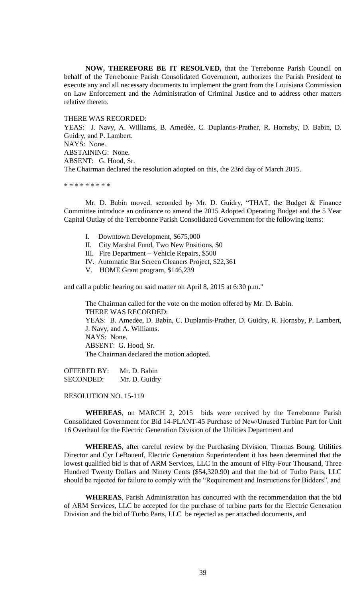**NOW, THEREFORE BE IT RESOLVED,** that the Terrebonne Parish Council on behalf of the Terrebonne Parish Consolidated Government, authorizes the Parish President to execute any and all necessary documents to implement the grant from the Louisiana Commission on Law Enforcement and the Administration of Criminal Justice and to address other matters relative thereto.

THERE WAS RECORDED:

YEAS: J. Navy, A. Williams, B. Amedée, C. Duplantis-Prather, R. Hornsby, D. Babin, D. Guidry, and P. Lambert. NAYS: None. ABSTAINING: None. ABSENT: G. Hood, Sr. The Chairman declared the resolution adopted on this, the 23rd day of March 2015.

\* \* \* \* \* \* \* \* \*

Mr. D. Babin moved, seconded by Mr. D. Guidry, "THAT, the Budget & Finance Committee introduce an ordinance to amend the 2015 Adopted Operating Budget and the 5 Year Capital Outlay of the Terrebonne Parish Consolidated Government for the following items:

- I. Downtown Development, \$675,000
- II. City Marshal Fund, Two New Positions, \$0
- III. Fire Department Vehicle Repairs, \$500
- IV. Automatic Bar Screen Cleaners Project, \$22,361
- V. HOME Grant program, \$146,239

and call a public hearing on said matter on April 8, 2015 at 6:30 p.m."

The Chairman called for the vote on the motion offered by Mr. D. Babin. THERE WAS RECORDED: YEAS: B. Amedẻe, D. Babin, C. Duplantis-Prather, D. Guidry, R. Hornsby, P. Lambert, J. Navy, and A. Williams. NAYS: None. ABSENT: G. Hood, Sr. The Chairman declared the motion adopted.

OFFERED BY: Mr. D. Babin SECONDED: Mr. D. Guidry

RESOLUTION NO. 15-119

**WHEREAS**, on MARCH 2, 2015 bids were received by the Terrebonne Parish Consolidated Government for Bid 14-PLANT-45 Purchase of New/Unused Turbine Part for Unit 16 Overhaul for the Electric Generation Division of the Utilities Department and

**WHEREAS**, after careful review by the Purchasing Division, Thomas Bourg, Utilities Director and Cyr LeBoueuf, Electric Generation Superintendent it has been determined that the lowest qualified bid is that of ARM Services, LLC in the amount of Fifty-Four Thousand, Three Hundred Twenty Dollars and Ninety Cents (\$54,320.90) and that the bid of Turbo Parts, LLC should be rejected for failure to comply with the "Requirement and Instructions for Bidders", and

**WHEREAS**, Parish Administration has concurred with the recommendation that the bid of ARM Services, LLC be accepted for the purchase of turbine parts for the Electric Generation Division and the bid of Turbo Parts, LLC be rejected as per attached documents, and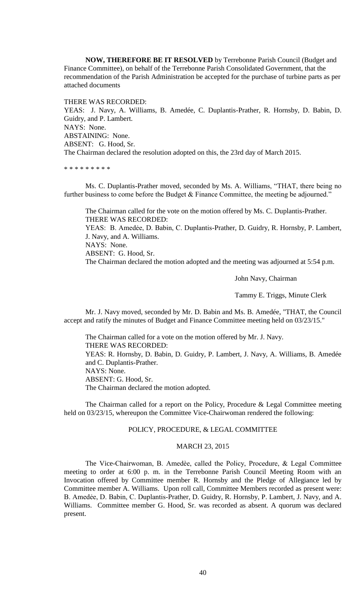**NOW, THEREFORE BE IT RESOLVED** by Terrebonne Parish Council (Budget and Finance Committee), on behalf of the Terrebonne Parish Consolidated Government, that the recommendation of the Parish Administration be accepted for the purchase of turbine parts as per attached documents

THERE WAS RECORDED: YEAS: J. Navy, A. Williams, B. Amedée, C. Duplantis-Prather, R. Hornsby, D. Babin, D. Guidry, and P. Lambert. NAYS: None. ABSTAINING: None. ABSENT: G. Hood, Sr. The Chairman declared the resolution adopted on this, the 23rd day of March 2015.

\* \* \* \* \* \* \* \* \*

Ms. C. Duplantis-Prather moved, seconded by Ms. A. Williams, "THAT, there being no further business to come before the Budget & Finance Committee, the meeting be adjourned."

The Chairman called for the vote on the motion offered by Ms. C. Duplantis-Prather. THERE WAS RECORDED: YEAS: B. Amedẻe, D. Babin, C. Duplantis-Prather, D. Guidry, R. Hornsby, P. Lambert, J. Navy, and A. Williams. NAYS: None. ABSENT: G. Hood, Sr. The Chairman declared the motion adopted and the meeting was adjourned at 5:54 p.m.

John Navy, Chairman

Tammy E. Triggs, Minute Clerk

Mr. J. Navy moved, seconded by Mr. D. Babin and Ms. B. Amedée, "THAT, the Council accept and ratify the minutes of Budget and Finance Committee meeting held on 03/23/15."

The Chairman called for a vote on the motion offered by Mr. J. Navy. THERE WAS RECORDED: YEAS: R. Hornsby, D. Babin, D. Guidry, P. Lambert, J. Navy, A. Williams, B. Amedée and C. Duplantis-Prather. NAYS: None. ABSENT: G. Hood, Sr. The Chairman declared the motion adopted.

The Chairman called for a report on the Policy, Procedure & Legal Committee meeting held on 03/23/15, whereupon the Committee Vice-Chairwoman rendered the following:

### POLICY, PROCEDURE, & LEGAL COMMITTEE

### MARCH 23, 2015

The Vice-Chairwoman, B. Amedèe, called the Policy, Procedure, & Legal Committee meeting to order at 6:00 p. m. in the Terrebonne Parish Council Meeting Room with an Invocation offered by Committee member R. Hornsby and the Pledge of Allegiance led by Committee member A. Williams. Upon roll call, Committee Members recorded as present were: B. Amedẻe, D. Babin, C. Duplantis-Prather, D. Guidry, R. Hornsby, P. Lambert, J. Navy, and A. Williams. Committee member G. Hood, Sr. was recorded as absent. A quorum was declared present.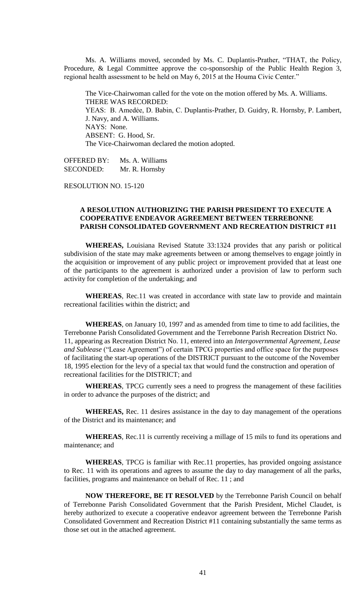Ms. A. Williams moved, seconded by Ms. C. Duplantis-Prather, "THAT, the Policy, Procedure, & Legal Committee approve the co-sponsorship of the Public Health Region 3, regional health assessment to be held on May 6, 2015 at the Houma Civic Center."

The Vice-Chairwoman called for the vote on the motion offered by Ms. A. Williams. THERE WAS RECORDED: YEAS: B. Amedẻe, D. Babin, C. Duplantis-Prather, D. Guidry, R. Hornsby, P. Lambert, J. Navy, and A. Williams. NAYS: None. ABSENT: G. Hood, Sr. The Vice-Chairwoman declared the motion adopted.

OFFERED BY: Ms. A. Williams SECONDED: Mr. R. Hornsby

RESOLUTION NO. 15-120

## **A RESOLUTION AUTHORIZING THE PARISH PRESIDENT TO EXECUTE A COOPERATIVE ENDEAVOR AGREEMENT BETWEEN TERREBONNE PARISH CONSOLIDATED GOVERNMENT AND RECREATION DISTRICT #11**

**WHEREAS,** Louisiana Revised Statute 33:1324 provides that any parish or political subdivision of the state may make agreements between or among themselves to engage jointly in the acquisition or improvement of any public project or improvement provided that at least one of the participants to the agreement is authorized under a provision of law to perform such activity for completion of the undertaking; and

**WHEREAS**, Rec.11 was created in accordance with state law to provide and maintain recreational facilities within the district; and

**WHEREAS**, on January 10, 1997 and as amended from time to time to add facilities, the Terrebonne Parish Consolidated Government and the Terrebonne Parish Recreation District No. 11, appearing as Recreation District No. 11, entered into an *Intergovernmental Agreement, Lease and Sublease* ("Lease Agreement") of certain TPCG properties and office space for the purposes of facilitating the start-up operations of the DISTRICT pursuant to the outcome of the November 18, 1995 election for the levy of a special tax that would fund the construction and operation of recreational facilities for the DISTRICT; and

**WHEREAS**, TPCG currently sees a need to progress the management of these facilities in order to advance the purposes of the district; and

**WHEREAS,** Rec. 11 desires assistance in the day to day management of the operations of the District and its maintenance; and

**WHEREAS**, Rec.11 is currently receiving a millage of 15 mils to fund its operations and maintenance; and

**WHEREAS**, TPCG is familiar with Rec.11 properties, has provided ongoing assistance to Rec. 11 with its operations and agrees to assume the day to day management of all the parks, facilities, programs and maintenance on behalf of Rec. 11 ; and

**NOW THEREFORE, BE IT RESOLVED** by the Terrebonne Parish Council on behalf of Terrebonne Parish Consolidated Government that the Parish President, Michel Claudet, is hereby authorized to execute a cooperative endeavor agreement between the Terrebonne Parish Consolidated Government and Recreation District #11 containing substantially the same terms as those set out in the attached agreement.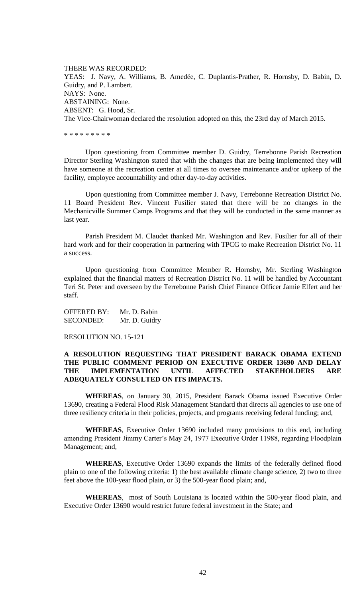THERE WAS RECORDED: YEAS: J. Navy, A. Williams, B. Amedée, C. Duplantis-Prather, R. Hornsby, D. Babin, D. Guidry, and P. Lambert. NAYS: None. ABSTAINING: None. ABSENT: G. Hood, Sr. The Vice-Chairwoman declared the resolution adopted on this, the 23rd day of March 2015.

\* \* \* \* \* \* \* \* \*

Upon questioning from Committee member D. Guidry, Terrebonne Parish Recreation Director Sterling Washington stated that with the changes that are being implemented they will have someone at the recreation center at all times to oversee maintenance and/or upkeep of the facility, employee accountability and other day-to-day activities.

Upon questioning from Committee member J. Navy, Terrebonne Recreation District No. 11 Board President Rev. Vincent Fusilier stated that there will be no changes in the Mechanicville Summer Camps Programs and that they will be conducted in the same manner as last year.

Parish President M. Claudet thanked Mr. Washington and Rev. Fusilier for all of their hard work and for their cooperation in partnering with TPCG to make Recreation District No. 11 a success.

Upon questioning from Committee Member R. Hornsby, Mr. Sterling Washington explained that the financial matters of Recreation District No. 11 will be handled by Accountant Teri St. Peter and overseen by the Terrebonne Parish Chief Finance Officer Jamie Elfert and her staff.

OFFERED BY: Mr. D. Babin SECONDED: Mr. D. Guidry

RESOLUTION NO. 15-121

# **A RESOLUTION REQUESTING THAT PRESIDENT BARACK OBAMA EXTEND THE PUBLIC COMMENT PERIOD ON EXECUTIVE ORDER 13690 AND DELAY THE IMPLEMENTATION UNTIL AFFECTED STAKEHOLDERS ARE ADEQUATELY CONSULTED ON ITS IMPACTS.**

**WHEREAS**, on January 30, 2015, President Barack Obama issued Executive Order 13690, creating a Federal Flood Risk Management Standard that directs all agencies to use one of three resiliency criteria in their policies, projects, and programs receiving federal funding; and,

**WHEREAS**, Executive Order 13690 included many provisions to this end, including amending President Jimmy Carter's May 24, 1977 Executive Order 11988, regarding Floodplain Management; and,

**WHEREAS**, Executive Order 13690 expands the limits of the federally defined flood plain to one of the following criteria: 1) the best available climate change science, 2) two to three feet above the 100-year flood plain, or 3) the 500-year flood plain; and,

**WHEREAS**, most of South Louisiana is located within the 500-year flood plain, and Executive Order 13690 would restrict future federal investment in the State; and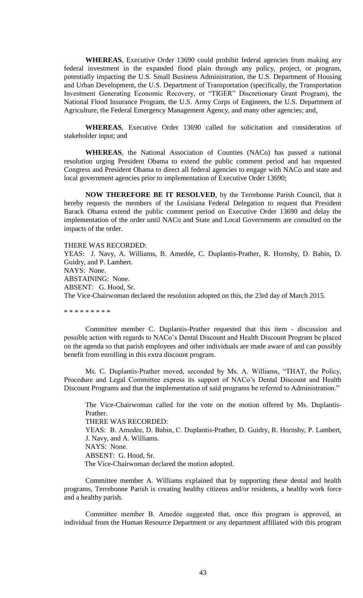**WHEREAS**, Executive Order 13690 could prohibit federal agencies from making any federal investment in the expanded flood plain through any policy, project, or program, potentially impacting the U.S. Small Business Administration, the U.S. Department of Housing and Urban Development, the U.S. Department of Transportation (specifically, the Transportation Investment Generating Economic Recovery, or "TIGER" Discretionary Grant Program), the National Flood Insurance Program, the U.S. Army Corps of Engineers, the U.S. Department of Agriculture, the Federal Emergency Management Agency, and many other agencies; and,

**WHEREAS**, Executive Order 13690 called for solicitation and consideration of stakeholder input; and

**WHEREAS**, the National Association of Counties (NACo) has passed a national resolution urging President Obama to extend the public comment period and has requested Congress and President Obama to direct all federal agencies to engage with NACo and state and local government agencies prior to implementation of Executive Order 13690;

**NOW THEREFORE BE IT RESOLVED**, by the Terrebonne Parish Council, that it hereby requests the members of the Louisiana Federal Delegation to request that President Barack Obama extend the public comment period on Executive Order 13690 and delay the implementation of the order until NACo and State and Local Governments are consulted on the impacts of the order.

THERE WAS RECORDED:

YEAS: J. Navy, A. Williams, B. Amedée, C. Duplantis-Prather, R. Hornsby, D. Babin, D. Guidry, and P. Lambert. NAYS: None. ABSTAINING: None. ABSENT: G. Hood, Sr. The Vice-Chairwoman declared the resolution adopted on this, the 23rd day of March 2015.

\* \* \* \* \* \* \* \* \*

Committee member C. Duplantis-Prather requested that this item - discussion and possible action with regards to NACo's Dental Discount and Health Discount Program be placed on the agenda so that parish employees and other individuals are made aware of and can possibly benefit from enrolling in this extra discount program.

Ms. C. Duplantis-Prather moved, seconded by Ms. A. Williams, "THAT, the Policy, Procedure and Legal Committee express its support of NACo's Dental Discount and Health Discount Programs and that the implementation of said programs be referred to Administration."

The Vice-Chairwoman called for the vote on the motion offered by Ms. Duplantis-Prather. THERE WAS RECORDED: YEAS: B. Amedẻe, D. Babin, C. Duplantis-Prather, D. Guidry, R. Hornsby, P. Lambert, J. Navy, and A. Williams. NAYS: None. ABSENT: G. Hood, Sr. The Vice-Chairwoman declared the motion adopted.

Committee member A. Williams explained that by supporting these dental and health programs, Terrebonne Parish is creating healthy citizens and/or residents, a healthy work force and a healthy parish.

Committee member B. Amedèe suggested that, once this program is approved, an individual from the Human Resource Department or any department affiliated with this program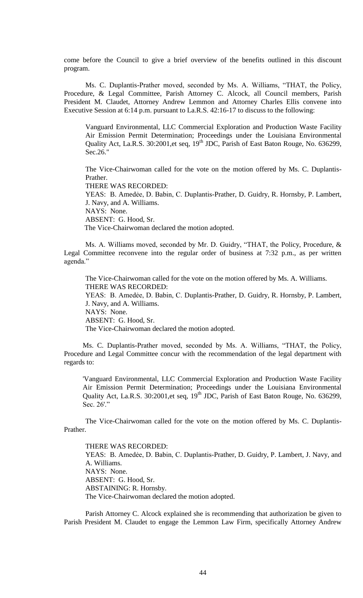come before the Council to give a brief overview of the benefits outlined in this discount program.

 Ms. C. Duplantis-Prather moved, seconded by Ms. A. Williams, "THAT, the Policy, Procedure, & Legal Committee, Parish Attorney C. Alcock, all Council members, Parish President M. Claudet, Attorney Andrew Lemmon and Attorney Charles Ellis convene into Executive Session at 6:14 p.m. pursuant to La.R.S. 42:16-17 to discuss to the following:

Vanguard Environmental, LLC Commercial Exploration and Production Waste Facility Air Emission Permit Determination; Proceedings under the Louisiana Environmental Quality Act, La.R.S. 30:2001,et seq, 19<sup>th</sup> JDC, Parish of East Baton Rouge, No. 636299, Sec.26."

The Vice-Chairwoman called for the vote on the motion offered by Ms. C. Duplantis-Prather.

THERE WAS RECORDED:

YEAS: B. Amedẻe, D. Babin, C. Duplantis-Prather, D. Guidry, R. Hornsby, P. Lambert, J. Navy, and A. Williams. NAYS: None.

ABSENT: G. Hood, Sr.

The Vice-Chairwoman declared the motion adopted.

 Ms. A. Williams moved, seconded by Mr. D. Guidry, "THAT, the Policy, Procedure, & Legal Committee reconvene into the regular order of business at 7:32 p.m., as per written agenda."

The Vice-Chairwoman called for the vote on the motion offered by Ms. A. Williams. THERE WAS RECORDED: YEAS: B. Amedẻe, D. Babin, C. Duplantis-Prather, D. Guidry, R. Hornsby, P. Lambert, J. Navy, and A. Williams. NAYS: None. ABSENT: G. Hood, Sr. The Vice-Chairwoman declared the motion adopted.

Ms. C. Duplantis-Prather moved, seconded by Ms. A. Williams, "THAT, the Policy, Procedure and Legal Committee concur with the recommendation of the legal department with regards to:

'Vanguard Environmental, LLC Commercial Exploration and Production Waste Facility Air Emission Permit Determination; Proceedings under the Louisiana Environmental Quality Act, La.R.S. 30:2001,et seq, 19<sup>th</sup> JDC, Parish of East Baton Rouge, No. 636299, Sec. 26'."

The Vice-Chairwoman called for the vote on the motion offered by Ms. C. Duplantis-Prather.

THERE WAS RECORDED: YEAS: B. Amedẻe, D. Babin, C. Duplantis-Prather, D. Guidry, P. Lambert, J. Navy, and A. Williams. NAYS: None. ABSENT: G. Hood, Sr. ABSTAINING: R. Hornsby. The Vice-Chairwoman declared the motion adopted.

Parish Attorney C. Alcock explained she is recommending that authorization be given to Parish President M. Claudet to engage the Lemmon Law Firm, specifically Attorney Andrew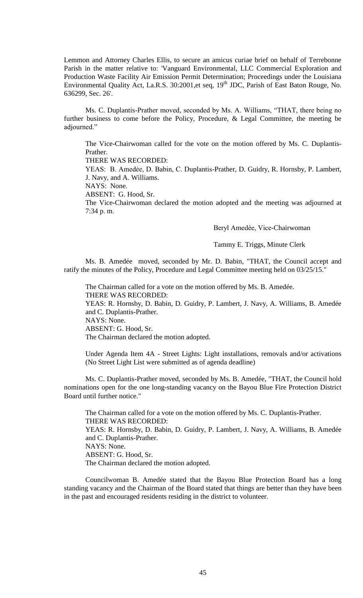Lemmon and Attorney Charles Ellis, to secure an amicus curiae brief on behalf of Terrebonne Parish in the matter relative to: 'Vanguard Environmental, LLC Commercial Exploration and Production Waste Facility Air Emission Permit Determination; Proceedings under the Louisiana Environmental Quality Act, La.R.S. 30:2001,et seq, 19<sup>th</sup> JDC, Parish of East Baton Rouge, No. 636299, Sec. 26'.

Ms. C. Duplantis-Prather moved, seconded by Ms. A. Williams, "THAT, there being no further business to come before the Policy, Procedure, & Legal Committee, the meeting be adjourned."

The Vice-Chairwoman called for the vote on the motion offered by Ms. C. Duplantis-Prather.

THERE WAS RECORDED:

YEAS: B. Amedẻe, D. Babin, C. Duplantis-Prather, D. Guidry, R. Hornsby, P. Lambert, J. Navy, and A. Williams.

NAYS: None.

ABSENT: G. Hood, Sr.

The Vice-Chairwoman declared the motion adopted and the meeting was adjourned at 7:34 p. m.

Beryl Amedѐe, Vice-Chairwoman

Tammy E. Triggs, Minute Clerk

Ms. B. Amedée moved, seconded by Mr. D. Babin, "THAT, the Council accept and ratify the minutes of the Policy, Procedure and Legal Committee meeting held on 03/25/15."

The Chairman called for a vote on the motion offered by Ms. B. Amedée. THERE WAS RECORDED: YEAS: R. Hornsby, D. Babin, D. Guidry, P. Lambert, J. Navy, A. Williams, B. Amedée and C. Duplantis-Prather. NAYS: None. ABSENT: G. Hood, Sr. The Chairman declared the motion adopted.

Under Agenda Item 4A - Street Lights: Light installations, removals and/or activations (No Street Light List were submitted as of agenda deadline)

Ms. C. Duplantis-Prather moved, seconded by Ms. B. Amedée, "THAT, the Council hold nominations open for the one long-standing vacancy on the Bayou Blue Fire Protection District Board until further notice."

The Chairman called for a vote on the motion offered by Ms. C. Duplantis-Prather. THERE WAS RECORDED: YEAS: R. Hornsby, D. Babin, D. Guidry, P. Lambert, J. Navy, A. Williams, B. Amedée and C. Duplantis-Prather. NAYS: None. ABSENT: G. Hood, Sr. The Chairman declared the motion adopted.

Councilwoman B. Amedée stated that the Bayou Blue Protection Board has a long standing vacancy and the Chairman of the Board stated that things are better than they have been in the past and encouraged residents residing in the district to volunteer.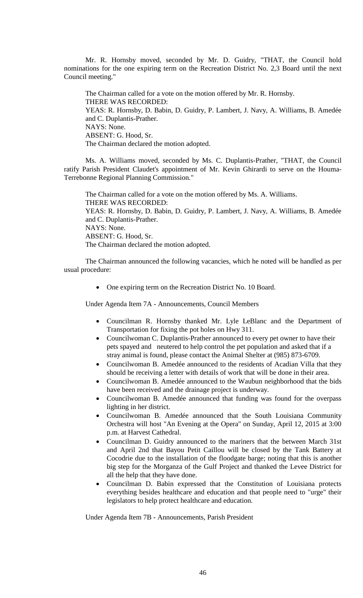Mr. R. Hornsby moved, seconded by Mr. D. Guidry, "THAT, the Council hold nominations for the one expiring term on the Recreation District No. 2,3 Board until the next Council meeting."

The Chairman called for a vote on the motion offered by Mr. R. Hornsby. THERE WAS RECORDED: YEAS: R. Hornsby, D. Babin, D. Guidry, P. Lambert, J. Navy, A. Williams, B. Amedée and C. Duplantis-Prather. NAYS: None. ABSENT: G. Hood, Sr. The Chairman declared the motion adopted.

Ms. A. Williams moved, seconded by Ms. C. Duplantis-Prather, "THAT, the Council ratify Parish President Claudet's appointment of Mr. Kevin Ghirardi to serve on the Houma-Terrebonne Regional Planning Commission."

The Chairman called for a vote on the motion offered by Ms. A. Williams. THERE WAS RECORDED: YEAS: R. Hornsby, D. Babin, D. Guidry, P. Lambert, J. Navy, A. Williams, B. Amedée and C. Duplantis-Prather. NAYS: None. ABSENT: G. Hood, Sr. The Chairman declared the motion adopted.

The Chairman announced the following vacancies, which he noted will be handled as per usual procedure:

• One expiring term on the Recreation District No. 10 Board.

Under Agenda Item 7A - Announcements, Council Members

- Councilman R. Hornsby thanked Mr. Lyle LeBlanc and the Department of Transportation for fixing the pot holes on Hwy 311.
- Councilwoman C. Duplantis-Prather announced to every pet owner to have their pets spayed and neutered to help control the pet population and asked that if a stray animal is found, please contact the Animal Shelter at (985) 873-6709.
- Councilwoman B. Amedée announced to the residents of Acadian Villa that they should be receiving a letter with details of work that will be done in their area.
- Councilwoman B. Amedée announced to the Waubun neighborhood that the bids have been received and the drainage project is underway.
- Councilwoman B. Amedée announced that funding was found for the overpass lighting in her district.
- Councilwoman B. Amedée announced that the South Louisiana Community Orchestra will host "An Evening at the Opera" on Sunday, April 12, 2015 at 3:00 p.m. at Harvest Cathedral.
- Councilman D. Guidry announced to the mariners that the between March 31st and April 2nd that Bayou Petit Caillou will be closed by the Tank Battery at Cocodrie due to the installation of the floodgate barge; noting that this is another big step for the Morganza of the Gulf Project and thanked the Levee District for all the help that they have done.
- Councilman D. Babin expressed that the Constitution of Louisiana protects everything besides healthcare and education and that people need to "urge" their legislators to help protect healthcare and education.

Under Agenda Item 7B - Announcements, Parish President